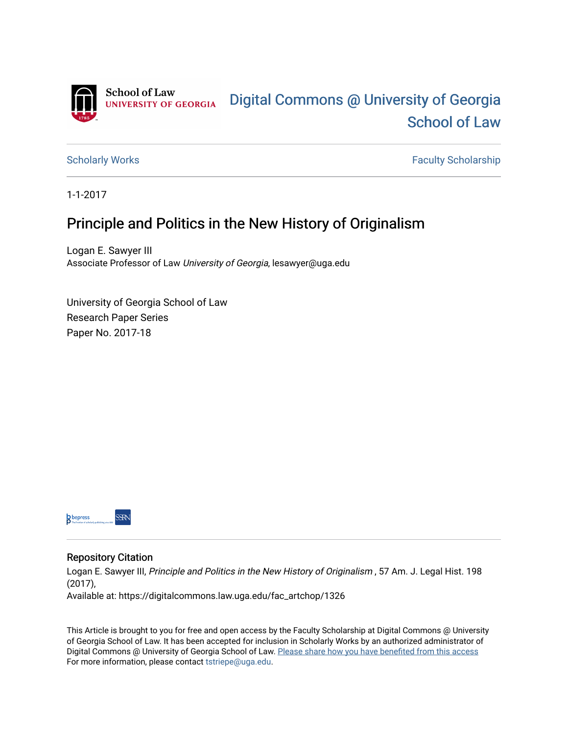

[Scholarly Works](https://digitalcommons.law.uga.edu/fac_artchop) **Faculty Scholarship** Scholarship

1-1-2017

# Principle and Politics in the New History of Originalism

Logan E. Sawyer III Associate Professor of Law University of Georgia, lesawyer@uga.edu

University of Georgia School of Law Research Paper Series Paper No. 2017-18



#### Repository Citation

Logan E. Sawyer III, Principle and Politics in the New History of Originalism , 57 Am. J. Legal Hist. 198 (2017), Available at: https://digitalcommons.law.uga.edu/fac\_artchop/1326

This Article is brought to you for free and open access by the Faculty Scholarship at Digital Commons @ University of Georgia School of Law. It has been accepted for inclusion in Scholarly Works by an authorized administrator of Digital Commons @ University of Georgia School of Law. Please share how you have benefited from this access For more information, please contact [tstriepe@uga.edu](mailto:tstriepe@uga.edu).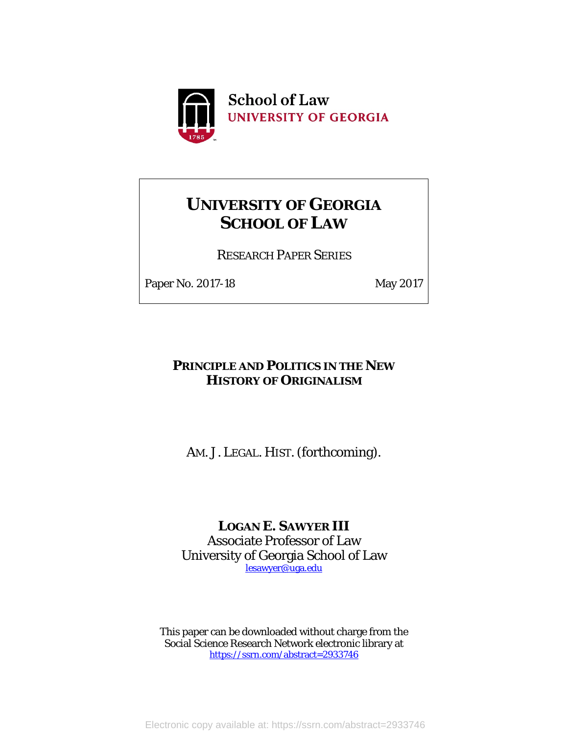

# **UNIVERSITY OF GEORGIA SCHOOL OF LAW**

RESEARCH PAPER SERIES

Paper No. 2017-18 May 2017

# **PRINCIPLE AND POLITICS IN THE NEW HISTORY OF ORIGINALISM**

AM. J. LEGAL. HIST. (forthcoming).

# **LOGAN E. SAWYER III**

Associate Professor of Law University of Georgia School of Law [lesawyer@uga.edu](mailto:lesawyer@uga.edu)

This paper can be downloaded without charge from the Social Science Research Network electronic library at <https://ssrn.com/abstract=2933746>

Electronic copy available at: https://ssrn.com/abstract=2933746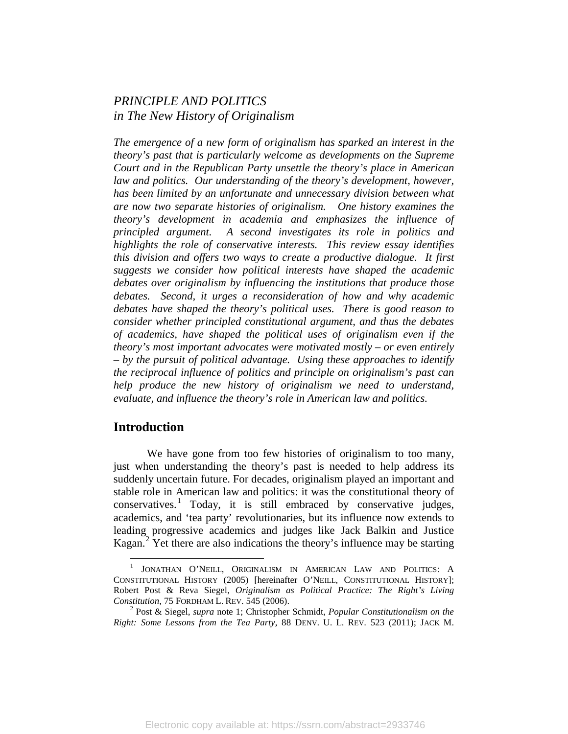# *PRINCIPLE AND POLITICS in The New History of Originalism*

*The emergence of a new form of originalism has sparked an interest in the theory's past that is particularly welcome as developments on the Supreme Court and in the Republican Party unsettle the theory's place in American law and politics. Our understanding of the theory's development, however, has been limited by an unfortunate and unnecessary division between what are now two separate histories of originalism. One history examines the theory's development in academia and emphasizes the influence of principled argument. A second investigates its role in politics and highlights the role of conservative interests. This review essay identifies this division and offers two ways to create a productive dialogue. It first suggests we consider how political interests have shaped the academic debates over originalism by influencing the institutions that produce those debates. Second, it urges a reconsideration of how and why academic debates have shaped the theory's political uses. There is good reason to consider whether principled constitutional argument, and thus the debates of academics, have shaped the political uses of originalism even if the theory's most important advocates were motivated mostly – or even entirely – by the pursuit of political advantage. Using these approaches to identify the reciprocal influence of politics and principle on originalism's past can help produce the new history of originalism we need to understand, evaluate, and influence the theory's role in American law and politics.*

### **Introduction**

<span id="page-2-0"></span>We have gone from too few histories of originalism to too many, just when understanding the theory's past is needed to help address its suddenly uncertain future. For decades, originalism played an important and stable role in American law and politics: it was the constitutional theory of  $conservative<sup>1</sup>$  $conservative<sup>1</sup>$  $conservative<sup>1</sup>$  Today, it is still embraced by conservative judges, academics, and 'tea party' revolutionaries, but its influence now extends to leading progressive academics and judges like Jack Balkin and Justice Kagan.<sup>[2](#page-2-2)</sup> Yet there are also indications the theory's influence may be starting

<span id="page-2-1"></span> <sup>1</sup> JONATHAN O'NEILL, ORIGINALISM IN AMERICAN LAW AND POLITICS: <sup>A</sup> CONSTITUTIONAL HISTORY (2005) [hereinafter O'NEILL, CONSTITUTIONAL HISTORY]; Robert Post & Reva Siegel, *Originalism as Political Practice: The Right's Living* 

<span id="page-2-2"></span><sup>&</sup>lt;sup>2</sup> Post & Siegel, *supra* note [1;](#page-2-0) Christopher Schmidt, *Popular Constitutionalism on the Right: Some Lessons from the Tea Party*, 88 DENV. U. L. REV. 523 (2011); JACK M.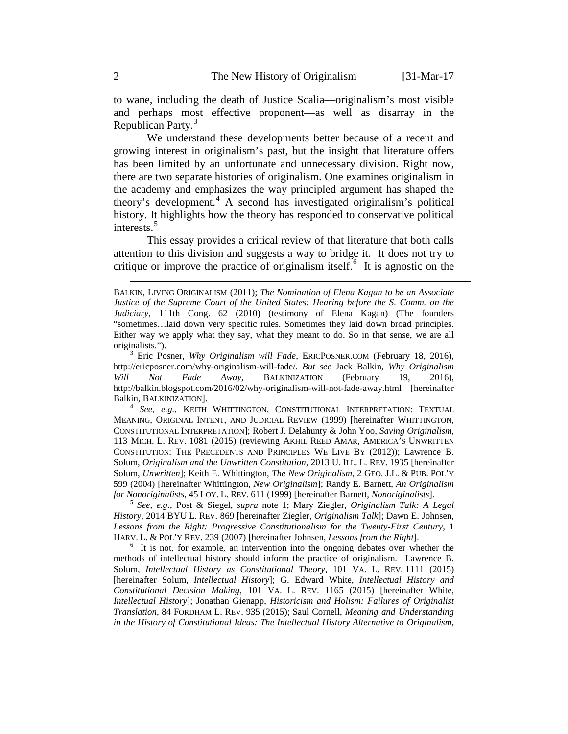to wane, including the death of Justice Scalia—originalism's most visible and perhaps most effective proponent—as well as disarray in the Republican Party. [3](#page-3-0)

We understand these developments better because of a recent and growing interest in originalism's past, but the insight that literature offers has been limited by an unfortunate and unnecessary division. Right now, there are two separate histories of originalism. One examines originalism in the academy and emphasizes the way principled argument has shaped the theory's development.<sup>[4](#page-3-1)</sup> A second has investigated originalism's political history. It highlights how the theory has responded to conservative political interests.<sup>[5](#page-3-2)</sup>

<span id="page-3-5"></span><span id="page-3-4"></span>This essay provides a critical review of that literature that both calls attention to this division and suggests a way to bridge it. It does not try to critique or improve the practice of originalism itself.<sup>[6](#page-3-3)</sup> It is agnostic on the

<span id="page-3-1"></span>MEANING, ORIGINAL INTENT, AND JUDICIAL REVIEW (1999) [hereinafter WHITTINGTON, CONSTITUTIONAL INTERPRETATION]; Robert J. Delahunty & John Yoo, *Saving Originalism*, 113 MICH. L. REV. 1081 (2015) (reviewing AKHIL REED AMAR, AMERICA'S UNWRITTEN CONSTITUTION: THE PRECEDENTS AND PRINCIPLES WE LIVE BY (2012)); Lawrence B. Solum, *Originalism and the Unwritten Constitution*, 2013 U. ILL. L. REV. 1935 [hereinafter Solum, *Unwritten*]; Keith E. Whittington, *The New Originalism*, 2 GEO. J.L. & PUB. POL'Y 599 (2004) [hereinafter Whittington, *New Originalism*]; Randy E. Barnett, *An Originalism for Nonoriginalists*, 45 LOY. L. REV. 611 (1999) [hereinafter Barnett, *Nonoriginalists*]. <sup>5</sup> *See, e.g.*, Post & Siegel, *supra* note [1;](#page-2-0) Mary Ziegler, *Originalism Talk: A Legal* 

<span id="page-3-2"></span>*History*, 2014 BYU L. REV. 869 [hereinafter Ziegler, *Originalism Talk*]; Dawn E. Johnsen, *Lessons from the Right: Progressive Constitutionalism for the Twenty-First Century*, 1 HARV. L. & POL'Y REV. 239 (2007) [hereinafter Johnsen, *Lessons from the Right*]. <sup>6</sup>

<span id="page-3-3"></span> $\delta$  It is not, for example, an intervention into the ongoing debates over whether the methods of intellectual history should inform the practice of originalism. Lawrence B. Solum, *Intellectual History as Constitutional Theory*, 101 VA. L. REV. 1111 (2015) [hereinafter Solum, *Intellectual History*]; G. Edward White, *Intellectual History and Constitutional Decision Making*, 101 VA. L. REV. 1165 (2015) [hereinafter White, *Intellectual History*]; Jonathan Gienapp, *Historicism and Holism: Failures of Originalist Translation,* 84 FORDHAM L. REV. 935 (2015); Saul Cornell, *Meaning and Understanding in the History of Constitutional Ideas: The Intellectual History Alternative to Originalism*,

 $\overline{a}$ 

BALKIN, LIVING ORIGINALISM (2011); *The Nomination of Elena Kagan to be an Associate Justice of the Supreme Court of the United States: Hearing before the S. Comm. on the Judiciary*, 111th Cong. 62 (2010) (testimony of Elena Kagan) (The founders "sometimes…laid down very specific rules. Sometimes they laid down broad principles. Either way we apply what they say, what they meant to do. So in that sense, we are all originalists."). <sup>3</sup> Eric Posner, *Why Originalism will Fade*, ERICPOSNER.COM (February 18, 2016),

<span id="page-3-0"></span>http://ericposner.com/why-originalism-will-fade/. *But see* Jack Balkin, *Why Originalism Will Not Fade Away,* BALKINIZATION (February 19, 2016), http://balkin.blogspot.com/2016/02/why-originalism-will-not-fade-away.html [hereinafter Balkin, BALKINIZATION].<br><sup>4</sup> *See, e.g.*, KEITH WHITTINGTON, CONSTITUTIONAL INTERPRETATION: TEXTUAL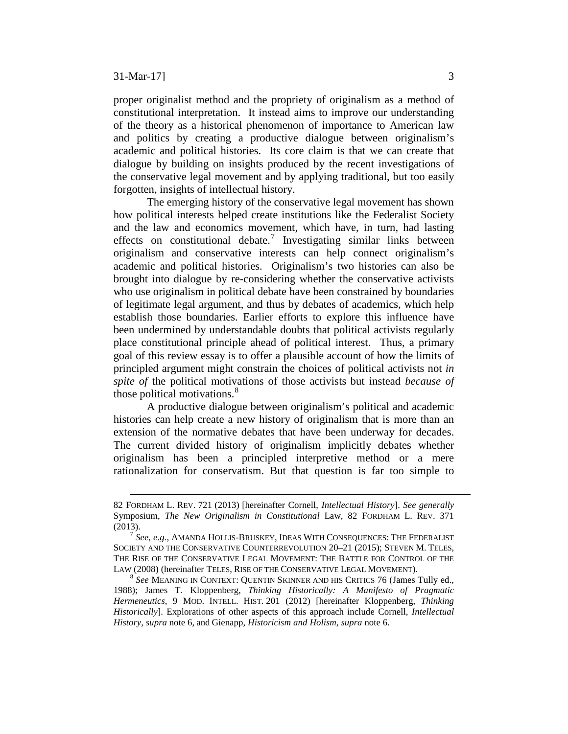#### 31-Mar-17] 3

 $\overline{a}$ 

proper originalist method and the propriety of originalism as a method of constitutional interpretation. It instead aims to improve our understanding of the theory as a historical phenomenon of importance to American law and politics by creating a productive dialogue between originalism's academic and political histories. Its core claim is that we can create that dialogue by building on insights produced by the recent investigations of the conservative legal movement and by applying traditional, but too easily forgotten, insights of intellectual history.

<span id="page-4-2"></span>The emerging history of the conservative legal movement has shown how political interests helped create institutions like the Federalist Society and the law and economics movement, which have, in turn, had lasting effects on constitutional debate.<sup>[7](#page-4-0)</sup> Investigating similar links between originalism and conservative interests can help connect originalism's academic and political histories. Originalism's two histories can also be brought into dialogue by re-considering whether the conservative activists who use originalism in political debate have been constrained by boundaries of legitimate legal argument, and thus by debates of academics, which help establish those boundaries. Earlier efforts to explore this influence have been undermined by understandable doubts that political activists regularly place constitutional principle ahead of political interest. Thus, a primary goal of this review essay is to offer a plausible account of how the limits of principled argument might constrain the choices of political activists not *in spite of* the political motivations of those activists but instead *because of* those political motivations.<sup>[8](#page-4-1)</sup>

<span id="page-4-3"></span>A productive dialogue between originalism's political and academic histories can help create a new history of originalism that is more than an extension of the normative debates that have been underway for decades. The current divided history of originalism implicitly debates whether originalism has been a principled interpretive method or a mere rationalization for conservatism. But that question is far too simple to

<sup>82</sup> FORDHAM L. REV. 721 (2013) [hereinafter Cornell, *Intellectual History*]. *See generally* Symposium, *The New Originalism in Constitutional* Law, 82 FORDHAM L. REV. 371 (2013). <sup>7</sup> *See, e.g.*, AMANDA HOLLIS-BRUSKEY, IDEAS WITH CONSEQUENCES: THE FEDERALIST

<span id="page-4-0"></span>SOCIETY AND THE CONSERVATIVE COUNTERREVOLUTION 20–21 (2015); STEVEN M. TELES, THE RISE OF THE CONSERVATIVE LEGAL MOVEMENT: THE BATTLE FOR CONTROL OF THE LAW (2008) (hereinafter TELES, RISE OF THE CONSERVATIVE LEGAL MOVEMENT). <sup>8</sup> *See* MEANING IN CONTEXT: QUENTIN SKINNER AND HIS CRITICS 76 (James Tully ed.,

<span id="page-4-1"></span><sup>1988);</sup> James T. Kloppenberg, *Thinking Historically: A Manifesto of Pragmatic Hermeneutics*, 9 MOD. INTELL. HIST. 201 (2012) [hereinafter Kloppenberg, *Thinking Historically*]. Explorations of other aspects of this approach include Cornell, *Intellectual History*, *supra* note 6, and Gienapp, *Historicism and Holism, supra* note 6.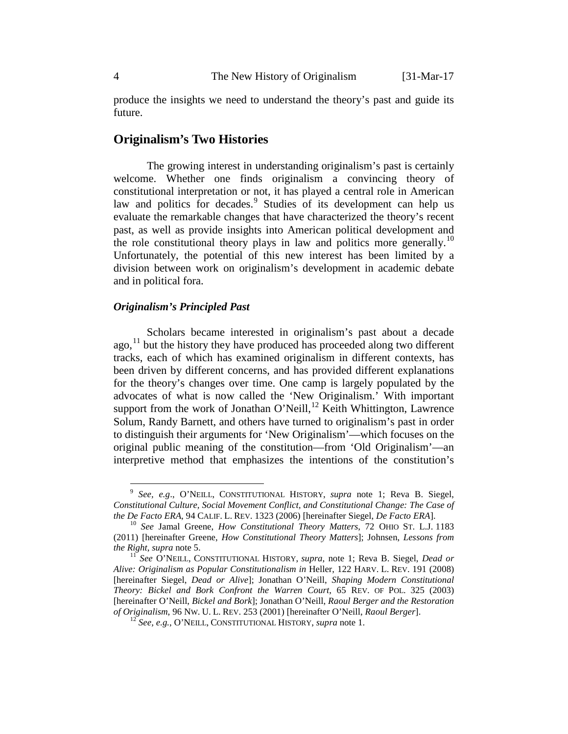produce the insights we need to understand the theory's past and guide its future.

### **Originalism's Two Histories**

The growing interest in understanding originalism's past is certainly welcome. Whether one finds originalism a convincing theory of constitutional interpretation or not, it has played a central role in American law and politics for decades.<sup>[9](#page-5-0)</sup> Studies of its development can help us evaluate the remarkable changes that have characterized the theory's recent past, as well as provide insights into American political development and the role constitutional theory plays in law and politics more generally.<sup>[10](#page-5-1)</sup> Unfortunately, the potential of this new interest has been limited by a division between work on originalism's development in academic debate and in political fora.

#### <span id="page-5-4"></span>*Originalism's Principled Past*

<span id="page-5-5"></span>Scholars became interested in originalism's past about a decade ago,<sup>[11](#page-5-2)</sup> but the history they have produced has proceeded along two different tracks, each of which has examined originalism in different contexts, has been driven by different concerns, and has provided different explanations for the theory's changes over time. One camp is largely populated by the advocates of what is now called the 'New Originalism.' With important support from the work of Jonathan O'Neill,  $^{12}$  $^{12}$  $^{12}$  Keith Whittington, Lawrence Solum, Randy Barnett, and others have turned to originalism's past in order to distinguish their arguments for 'New Originalism'—which focuses on the original public meaning of the constitution—from 'Old Originalism'—an interpretive method that emphasizes the intentions of the constitution's

<span id="page-5-0"></span> <sup>9</sup> *See, e.g*., O'NEILL, CONSTITUTIONAL HISTORY, *supra* note [1;](#page-2-0) Reva B. Siegel, *Constitutional Culture, Social Movement Conflict, and Constitutional Change: The Case of the De Facto ERA, 94 CALIF. L. REV. 1323 (2006) [hereinafter Siegel, De Facto ERA].* 

<span id="page-5-1"></span><sup>&</sup>lt;sup>10</sup> See Jamal Greene, *How Constitutional Theory Matters*, 72 OHIO ST. L.J. 1183 (2011) [hereinafter Greene, *How Constitutional Theory Matters*]; Johnsen, *Lessons from* 

<span id="page-5-3"></span><span id="page-5-2"></span><sup>&</sup>lt;sup>11</sup> *See* O'NEILL, CONSTITUTIONAL HISTORY, *supra*, note [1;](#page-2-0) Reva B. Siegel, *Dead or Alive: Originalism as Popular Constitutionalism in* Heller, 122 HARV. L. REV. 191 (2008) [hereinafter Siegel, *Dead or Alive*]; Jonathan O'Neill, *Shaping Modern Constitutional Theory: Bickel and Bork Confront the Warren Court*, 65 REV. OF POL. 325 (2003) [hereinafter O'Neill, *Bickel and Bork*]; Jonathan O'Neill, *Raoul Berger and the Restoration of Originalism*, 96 NW. U. L. REV. 253 (2001) [hereinafter O'Neill, *Raoul Berger*]. <sup>12</sup> *See, e.g.*, O'NEILL, CONSTITUTIONAL HISTORY, *supra* note [1.](#page-2-0)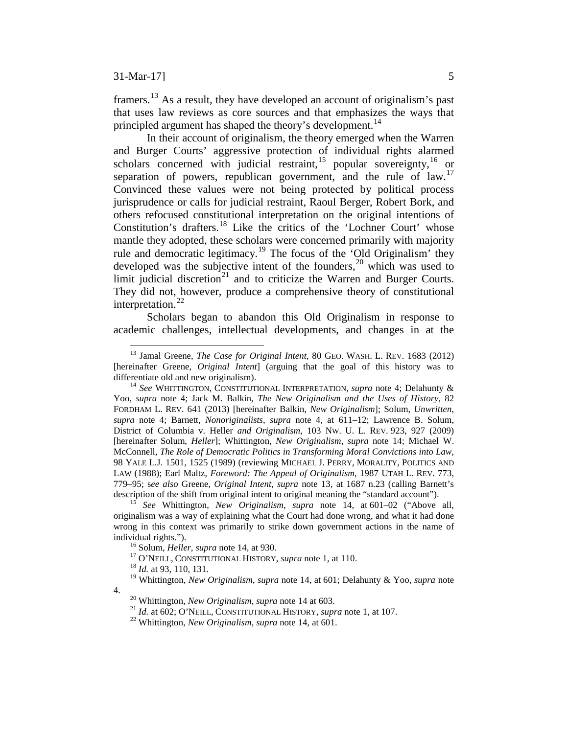<span id="page-6-1"></span>framers.[13](#page-6-2) As a result, they have developed an account of originalism's past that uses law reviews as core sources and that emphasizes the ways that principled argument has shaped the theory's development.<sup>[14](#page-6-3)</sup>

<span id="page-6-0"></span>In their account of originalism, the theory emerged when the Warren and Burger Courts' aggressive protection of individual rights alarmed scholars concerned with judicial restraint, $15$  popular sovereignty, $16$  or separation of powers, republican government, and the rule of  $law$ <sup>[17](#page-6-6)</sup> Convinced these values were not being protected by political process jurisprudence or calls for judicial restraint, Raoul Berger, Robert Bork, and others refocused constitutional interpretation on the original intentions of Constitution's drafters.<sup>[18](#page-6-7)</sup> Like the critics of the 'Lochner Court' whose mantle they adopted, these scholars were concerned primarily with majority rule and democratic legitimacy.<sup>[19](#page-6-8)</sup> The focus of the 'Old Originalism' they developed was the subjective intent of the founders,  $20$  which was used to limit judicial discretion<sup>[21](#page-6-10)</sup> and to criticize the Warren and Burger Courts. They did not, however, produce a comprehensive theory of constitutional interpretation. $^{22}$  $^{22}$  $^{22}$ 

Scholars began to abandon this Old Originalism in response to academic challenges, intellectual developments, and changes in at the

<span id="page-6-2"></span> <sup>13</sup> Jamal Greene, *The Case for Original Intent*, 80 GEO. WASH. L. REV. 1683 (2012) [hereinafter Greene, *Original Intent*] (arguing that the goal of this history was to differentiate old and new originalism). 14 *See* WHITTINGTON, CONSTITUTIONAL INTERPRETATION, *supra* note [4;](#page-3-5) Delahunty &

<span id="page-6-3"></span>Yoo, *supra* note [4;](#page-3-5) Jack M. Balkin, *The New Originalism and the Uses of History*, 82 FORDHAM L. REV. 641 (2013) [hereinafter Balkin, *New Originalism*]; Solum, *Unwritten*, *supra* note [4;](#page-3-5) Barnett, *Nonoriginalists*, *supra* note [4,](#page-3-5) at 611–12; Lawrence B. Solum, District of Columbia v. Heller *and Originalism*, 103 NW. U. L. REV. 923, 927 (2009) [hereinafter Solum, *Heller*]; Whittington, *New Originalism*, *supra* note [14;](#page-6-0) Michael W. McConnell, *The Role of Democratic Politics in Transforming Moral Convictions into Law*, 98 YALE L.J. 1501, 1525 (1989) (reviewing MICHAEL J. PERRY, MORALITY, POLITICS AND LAW (1988); Earl Maltz, *Foreword: The Appeal of Originalism*, 1987 UTAH L. REV. 773, 779–95; s*ee also* Greene, *Original Intent*, *supra* note [13,](#page-6-1) at 1687 n.23 (calling Barnett's description of the shift from original intent to original meaning the "standard account"). 15 *See* Whittington, *New Originalism*, *supra* note [14,](#page-6-0) at 601–02 ("Above all,

<span id="page-6-4"></span>originalism was a way of explaining what the Court had done wrong, and what it had done wrong in this context was primarily to strike down government actions in the name of individual rights.").

<sup>&</sup>lt;sup>16</sup> Solum, *Heller*, *supra* note [14,](#page-6-0) at 930.<br><sup>17</sup> O'NEILL, CONSTITUTIONAL HISTORY, *supra* note [1,](#page-2-0) at 110. <sup>18</sup> *Id.* at 93, 110, 131.

<span id="page-6-11"></span><span id="page-6-10"></span><span id="page-6-9"></span><span id="page-6-8"></span><span id="page-6-7"></span><span id="page-6-6"></span><span id="page-6-5"></span><sup>19</sup> Whittington, *New Originalism*, *supra* note [14,](#page-6-0) at 601; Delahunty & Yoo, *supra* note [4.](#page-3-5)<br><sup>20</sup> Whittington, *New Originalism*, *supra* note [14](#page-6-0) at 603.<br><sup>21</sup> *Id.* at 602; O'NEILL, CONSTITUTIONAL HISTORY, *supra* note [1,](#page-2-0) at 107.<br><sup>22</sup> Whittington, *New Originalism*, *supra* note [14,](#page-6-0) at 601.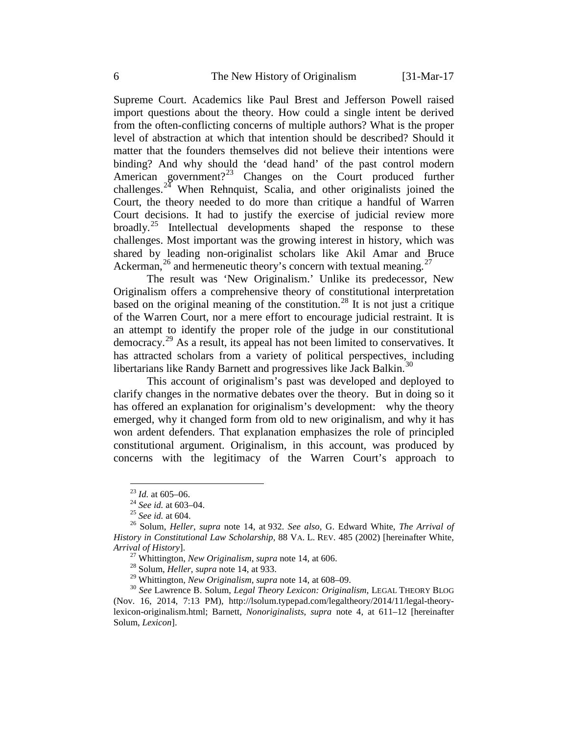Supreme Court. Academics like Paul Brest and Jefferson Powell raised import questions about the theory. How could a single intent be derived from the often-conflicting concerns of multiple authors? What is the proper level of abstraction at which that intention should be described? Should it matter that the founders themselves did not believe their intentions were binding? And why should the 'dead hand' of the past control modern American government?<sup>[23](#page-7-0)</sup> Changes on the Court produced further challenges.[24](#page-7-1) When Rehnquist, Scalia, and other originalists joined the Court, the theory needed to do more than critique a handful of Warren Court decisions. It had to justify the exercise of judicial review more broadly.<sup>[25](#page-7-2)</sup> Intellectual developments shaped the response to these challenges. Most important was the growing interest in history, which was shared by leading non-originalist scholars like Akil Amar and Bruce Ackerman,  $^{26}$  $^{26}$  $^{26}$  and hermeneutic theory's concern with textual meaning.<sup>[27](#page-7-4)</sup>

<span id="page-7-9"></span>The result was 'New Originalism.' Unlike its predecessor, New Originalism offers a comprehensive theory of constitutional interpretation based on the original meaning of the constitution.<sup>[28](#page-7-5)</sup> It is not just a critique of the Warren Court, nor a mere effort to encourage judicial restraint. It is an attempt to identify the proper role of the judge in our constitutional  $d$ emocracy.<sup>[29](#page-7-6)</sup> As a result, its appeal has not been limited to conservatives. It has attracted scholars from a variety of political perspectives, including libertarians like Randy Barnett and progressives like Jack Balkin.<sup>[30](#page-7-7)</sup>

<span id="page-7-8"></span>This account of originalism's past was developed and deployed to clarify changes in the normative debates over the theory. But in doing so it has offered an explanation for originalism's development: why the theory emerged, why it changed form from old to new originalism, and why it has won ardent defenders. That explanation emphasizes the role of principled constitutional argument. Originalism, in this account, was produced by concerns with the legitimacy of the Warren Court's approach to

<span id="page-7-3"></span><span id="page-7-2"></span><span id="page-7-1"></span><span id="page-7-0"></span><sup>23</sup> *Id.* at 605–06. <sup>24</sup> *See id.* at 603–04. <sup>25</sup> *See id.* at 604. <sup>26</sup> Solum, *Heller*, *supra* note [14,](#page-6-0) at 932. *See also*, G. Edward White, *The Arrival of History in Constitutional Law Scholarship*, 88 VA. L. REV. 485 (2002) [hereinafter White, *Arrival of History*].

<sup>&</sup>lt;sup>27</sup> Whittington, *New Originalism*, *supra* note [14,](#page-6-0) at 606.<br><sup>28</sup> Solum, *Heller*, *supra* note [14,](#page-6-0) at 933.<br><sup>29</sup> Whittington, *New Originalism*, *supra* note 14, at 608–09.

<span id="page-7-7"></span><span id="page-7-6"></span><span id="page-7-5"></span><span id="page-7-4"></span><sup>&</sup>lt;sup>30</sup> See Lawrence B. Solum, *Legal Theory Lexicon: Originalism*, LEGAL THEORY BLOG (Nov. 16, 2014, 7:13 PM), http://lsolum.typepad.com/legaltheory/2014/11/legal-theorylexicon-originalism.html; Barnett, *Nonoriginalists*, *supra* note [4,](#page-3-5) at 611–12 [hereinafter Solum, *Lexicon*].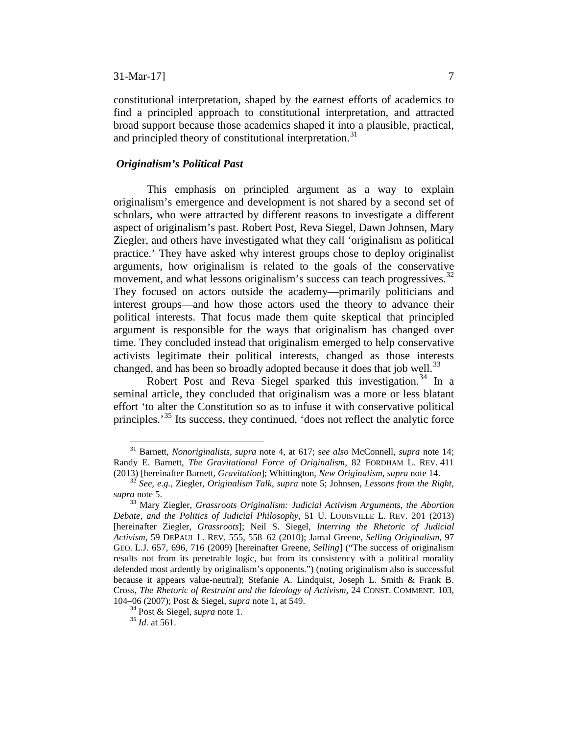### 31-Mar-17] 7

constitutional interpretation, shaped by the earnest efforts of academics to find a principled approach to constitutional interpretation, and attracted broad support because those academics shaped it into a plausible, practical, and principled theory of constitutional interpretation.<sup>[31](#page-8-0)</sup>

#### *Originalism's Political Past*

<span id="page-8-6"></span>This emphasis on principled argument as a way to explain originalism's emergence and development is not shared by a second set of scholars, who were attracted by different reasons to investigate a different aspect of originalism's past. Robert Post, Reva Siegel, Dawn Johnsen, Mary Ziegler, and others have investigated what they call 'originalism as political practice.' They have asked why interest groups chose to deploy originalist arguments, how originalism is related to the goals of the conservative movement, and what lessons originalism's success can teach progressives.<sup>[32](#page-8-1)</sup> They focused on actors outside the academy—primarily politicians and interest groups—and how those actors used the theory to advance their political interests. That focus made them quite skeptical that principled argument is responsible for the ways that originalism has changed over time. They concluded instead that originalism emerged to help conservative activists legitimate their political interests, changed as those interests changed, and has been so broadly adopted because it does that job well.<sup>[33](#page-8-2)</sup>

<span id="page-8-5"></span>Robert Post and Reva Siegel sparked this investigation.<sup>[34](#page-8-3)</sup> In a seminal article, they concluded that originalism was a more or less blatant effort 'to alter the Constitution so as to infuse it with conservative political principles.<sup>[35](#page-8-4)</sup> Its success, they continued, 'does not reflect the analytic force

<span id="page-8-0"></span> <sup>31</sup> Barnett, *Nonoriginalists*, *supra* note [4,](#page-3-5) at 617; s*ee also* McConnell, *supra* note [14;](#page-6-0) Randy E. Barnett, *The Gravitational Force of Originalism*, 82 FORDHAM L. REV. 411

<span id="page-8-1"></span><sup>&</sup>lt;sup>32</sup> See, e.g., Ziegler, *Originalism Talk*, *supra* note [5;](#page-3-4) Johnsen, *Lessons from the Right*, *supra* note 5.

<span id="page-8-2"></span><sup>&</sup>lt;sup>33</sup> Mary Ziegler, *Grassroots Originalism: Judicial Activism Arguments, the Abortion Debate, and the Politics of Judicial Philosophy*, 51 U. LOUISVILLE L. REV. 201 (2013) [hereinafter Ziegler, *Grassroots*]; Neil S. Siegel, *Interring the Rhetoric of Judicial Activism*, 59 DEPAUL L. REV. 555, 558–62 (2010); Jamal Greene, *Selling Originalism*, 97 GEO. L.J. 657, 696, 716 (2009) [hereinafter Greene, *Selling*] ("The success of originalism results not from its penetrable logic, but from its consistency with a political morality defended most ardently by originalism's opponents.") (noting originalism also is successful because it appears value-neutral); Stefanie A. Lindquist, Joseph L. Smith & Frank B. Cross, *The Rhetoric of Restraint and the Ideology of Activism*, 24 CONST. COMMENT. 103, 104–06 (2007); Post & Siegel, *supra* note [1,](#page-2-0) at 549. <sup>34</sup> Post & Siegel, *supra* note [1.](#page-2-0) <sup>35</sup> *Id.* at 561.

<span id="page-8-4"></span><span id="page-8-3"></span>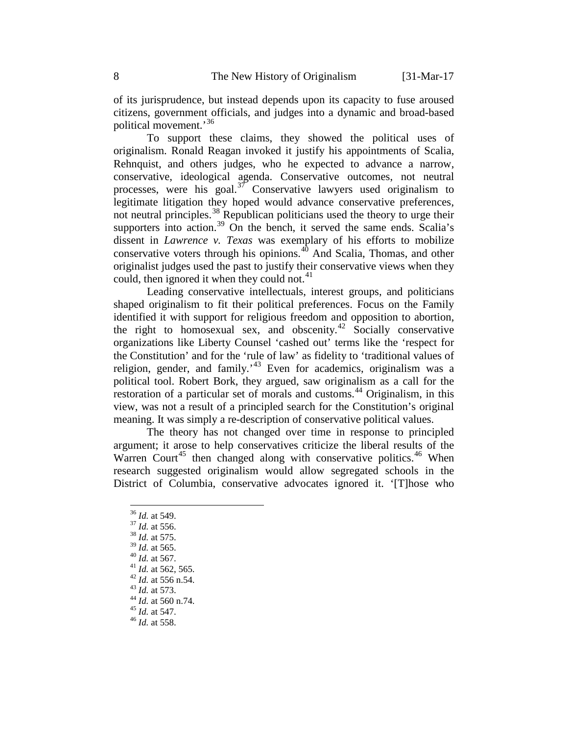of its jurisprudence, but instead depends upon its capacity to fuse aroused citizens, government officials, and judges into a dynamic and broad-based political movement.'<sup>[36](#page-9-0)</sup>

To support these claims, they showed the political uses of originalism. Ronald Reagan invoked it justify his appointments of Scalia, Rehnquist, and others judges, who he expected to advance a narrow, conservative, ideological agenda. Conservative outcomes, not neutral processes, were his goal.<sup>[37](#page-9-1)</sup> Conservative lawyers used originalism to legitimate litigation they hoped would advance conservative preferences, not neutral principles.<sup>[38](#page-9-2)</sup> Republican politicians used the theory to urge their supporters into action.<sup>[39](#page-9-3)</sup> On the bench, it served the same ends. Scalia's dissent in *Lawrence v. Texas* was exemplary of his efforts to mobilize conservative voters through his opinions.<sup>[40](#page-9-4)</sup> And Scalia, Thomas, and other originalist judges used the past to justify their conservative views when they could, then ignored it when they could not.<sup>[41](#page-9-5)</sup>

Leading conservative intellectuals, interest groups, and politicians shaped originalism to fit their political preferences. Focus on the Family identified it with support for religious freedom and opposition to abortion, the right to homosexual sex, and obscenity.<sup>[42](#page-9-6)</sup> Socially conservative organizations like Liberty Counsel 'cashed out' terms like the 'respect for the Constitution' and for the 'rule of law' as fidelity to 'traditional values of religion, gender, and family.<sup>[43](#page-9-7)</sup> Even for academics, originalism was a political tool. Robert Bork, they argued, saw originalism as a call for the restoration of a particular set of morals and customs.<sup>[44](#page-9-8)</sup> Originalism, in this view, was not a result of a principled search for the Constitution's original meaning. It was simply a re-description of conservative political values.

The theory has not changed over time in response to principled argument; it arose to help conservatives criticize the liberal results of the Warren Court<sup>[45](#page-9-9)</sup> then changed along with conservative politics.<sup>[46](#page-9-10)</sup> When research suggested originalism would allow segregated schools in the District of Columbia, conservative advocates ignored it. '[T]hose who

- 
- <span id="page-9-1"></span><span id="page-9-0"></span><sup>36</sup> *Id.* at 549. <sup>37</sup> *Id.* at 556. <sup>38</sup> *Id.* at 575.
- <span id="page-9-2"></span>
- 
- 
- 
- 
- <span id="page-9-8"></span><span id="page-9-7"></span><span id="page-9-6"></span>
- <span id="page-9-5"></span><span id="page-9-4"></span><span id="page-9-3"></span>40 *Id.* at 567.<br>
<sup>42</sup> *Id.* at 562, 565.<br>
<sup>42</sup> *Id.* at 556 n.54.<br>
<sup>44</sup> *Id.* at 560 n.74.<br>
<sup>45</sup> *Id.* at 547.<br>
<sup>46</sup> *Id.* at 558.
- <span id="page-9-9"></span>
- <span id="page-9-10"></span>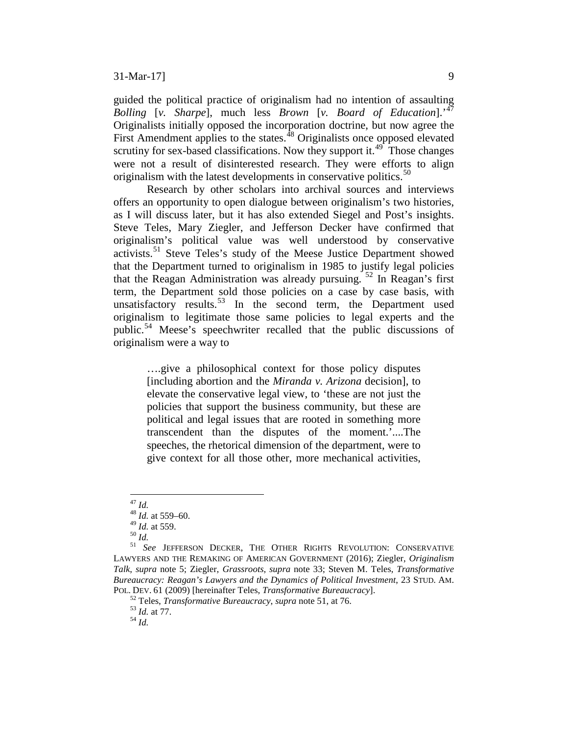guided the political practice of originalism had no intention of assaulting *Bolling* [*v. Sharpe*], much less *Brown* [*v. Board of Education*].' [47](#page-10-0) Originalists initially opposed the incorporation doctrine, but now agree the First Amendment applies to the states.<sup>[48](#page-10-1)</sup> Originalists once opposed elevated scrutiny for sex-based classifications. Now they support it.<sup>[49](#page-10-2)</sup> Those changes were not a result of disinterested research. They were efforts to align originalism with the latest developments in conservative politics.<sup>[50](#page-10-3)</sup>

<span id="page-10-8"></span>Research by other scholars into archival sources and interviews offers an opportunity to open dialogue between originalism's two histories, as I will discuss later, but it has also extended Siegel and Post's insights. Steve Teles, Mary Ziegler, and Jefferson Decker have confirmed that originalism's political value was well understood by conservative activists.<sup>[51](#page-10-4)</sup> Steve Teles's study of the Meese Justice Department showed that the Department turned to originalism in 1985 to justify legal policies that the Reagan Administration was already pursuing. [52](#page-10-5) In Reagan's first term, the Department sold those policies on a case by case basis, with unsatisfactory results.<sup>[53](#page-10-6)</sup> In the second term, the Department used originalism to legitimate those same policies to legal experts and the public.<sup>[54](#page-10-7)</sup> Meese's speechwriter recalled that the public discussions of originalism were a way to

….give a philosophical context for those policy disputes [including abortion and the *Miranda v. Arizona* decision], to elevate the conservative legal view, to 'these are not just the policies that support the business community, but these are political and legal issues that are rooted in something more transcendent than the disputes of the moment.'....The speeches, the rhetorical dimension of the department, were to give context for all those other, more mechanical activities,

<sup>47</sup> *Id.* <sup>48</sup> *Id.* at 559–60.

<span id="page-10-4"></span><span id="page-10-3"></span><span id="page-10-2"></span><span id="page-10-1"></span><span id="page-10-0"></span><sup>1</sup>*at. at 559.*<br>
50 *Id.*<br>
51 *See* JEFFERSON DECKER, THE OTHER RIGHTS REVOLUTION: CONSERVATIVE LAWYERS AND THE REMAKING OF AMERICAN GOVERNMENT (2016); Ziegler, *Originalism Talk*, *supra* note [5;](#page-3-4) Ziegler, *Grassroots*, *supra* note [33;](#page-8-5) Steven M. Teles, *Transformative Bureaucracy: Reagan's Lawyers and the Dynamics of Political Investment*, 23 STUD. AM.

<span id="page-10-7"></span><span id="page-10-6"></span><span id="page-10-5"></span>POL. DEV. <sup>61</sup> (2009) [hereinafter Teles, *Transformative Bureaucracy*]. <sup>52</sup> Teles, *Transformative Bureaucracy*, *supra* note 51, at 76. <sup>53</sup> *Id.* at 77. <sup>54</sup> *Id.*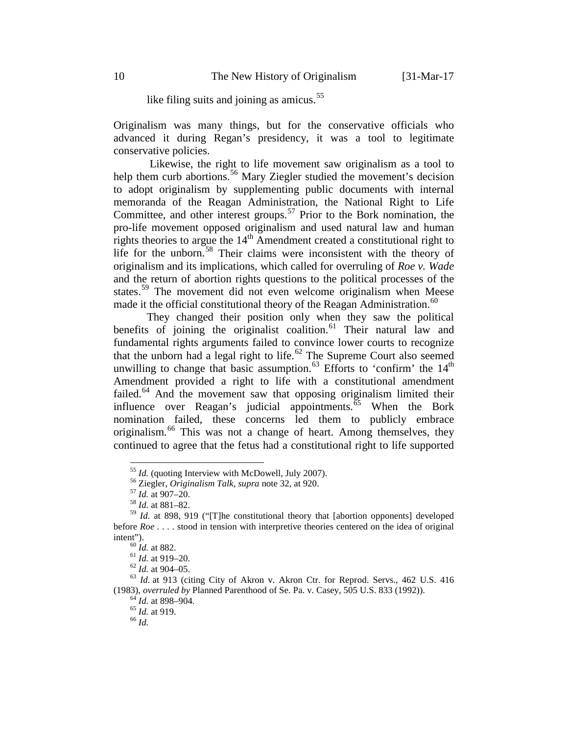like filing suits and joining as amicus.<sup>[55](#page-11-0)</sup>

Originalism was many things, but for the conservative officials who advanced it during Regan's presidency, it was a tool to legitimate conservative policies.

Likewise, the right to life movement saw originalism as a tool to help them curb abortions.<sup>[56](#page-11-1)</sup> Mary Ziegler studied the movement's decision to adopt originalism by supplementing public documents with internal memoranda of the Reagan Administration, the National Right to Life Committee, and other interest groups.<sup>[57](#page-11-2)</sup> Prior to the Bork nomination, the pro-life movement opposed originalism and used natural law and human rights theories to argue the  $14<sup>th</sup>$  Amendment created a constitutional right to life for the unborn.<sup>[58](#page-11-3)</sup> Their claims were inconsistent with the theory of originalism and its implications, which called for overruling of *Roe v. Wade* and the return of abortion rights questions to the political processes of the states.<sup>[59](#page-11-4)</sup> The movement did not even welcome originalism when Meese made it the official constitutional theory of the Reagan Administration.<sup>[60](#page-11-5)</sup>

They changed their position only when they saw the political benefits of joining the originalist coalition.<sup>[61](#page-11-6)</sup> Their natural law and fundamental rights arguments failed to convince lower courts to recognize that the unborn had a legal right to life.<sup>[62](#page-11-7)</sup> The Supreme Court also seemed unwilling to change that basic assumption.<sup>[63](#page-11-8)</sup> Efforts to 'confirm' the  $14<sup>th</sup>$ Amendment provided a right to life with a constitutional amendment failed.<sup>[64](#page-11-9)</sup> And the movement saw that opposing originalism limited their influence over Reagan's judicial appointments.<sup> $55$ </sup> When the Bork nomination failed, these concerns led them to publicly embrace originalism.<sup>[66](#page-11-11)</sup> This was not a change of heart. Among themselves, they continued to agree that the fetus had a constitutional right to life supported

<span id="page-11-11"></span><span id="page-11-10"></span><span id="page-11-9"></span><span id="page-11-8"></span><span id="page-11-7"></span><span id="page-11-6"></span><span id="page-11-5"></span>(1983), *overruled by* Planned Parenthood of Se. Pa. v. Casey, 505 U.S. 833 (1992)).<br><sup>64</sup> *Id.* at 898–904.<br><sup>65</sup> *Id.* at 919.<br><sup>66</sup> *Id.* 

<sup>55</sup> *Id.* (quoting Interview with McDowell, July 2007). <sup>56</sup> Ziegler, *Originalism Talk*, *supra* note [32,](#page-8-6) at 920. <sup>57</sup> *Id.* at 907–20. <sup>58</sup> *Id.* at 881–82.

<span id="page-11-4"></span><span id="page-11-3"></span><span id="page-11-2"></span><span id="page-11-1"></span><span id="page-11-0"></span><sup>59</sup> *Id.* at 898, 919 ("[T]he constitutional theory that [abortion opponents] developed before *Roe . . . .* stood in tension with interpretive theories centered on the idea of original intent").<br>
<sup>60</sup> *Id.* at 882.<br>
<sup>61</sup> *Id.* at 919–20.<br>
<sup>62</sup> *Id.* at 904–05.<br>
<sup>63</sup> *Id.* at 913 (citing City of Akron v. Akron Ctr. for Reprod. Servs., 462 U.S. 416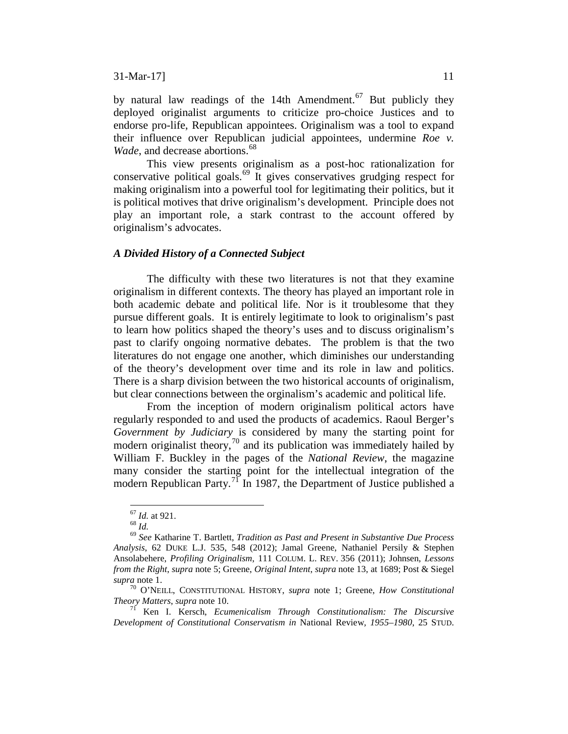by natural law readings of the 14th Amendment.<sup>[67](#page-12-0)</sup> But publicly they deployed originalist arguments to criticize pro-choice Justices and to endorse pro-life, Republican appointees. Originalism was a tool to expand their influence over Republican judicial appointees, undermine *Roe v. Wade*, and decrease abortions. [68](#page-12-1)

<span id="page-12-5"></span>This view presents originalism as a post-hoc rationalization for conservative political goals.<sup>[69](#page-12-2)</sup> It gives conservatives grudging respect for making originalism into a powerful tool for legitimating their politics, but it is political motives that drive originalism's development. Principle does not play an important role, a stark contrast to the account offered by originalism's advocates.

#### *A Divided History of a Connected Subject*

The difficulty with these two literatures is not that they examine originalism in different contexts. The theory has played an important role in both academic debate and political life. Nor is it troublesome that they pursue different goals. It is entirely legitimate to look to originalism's past to learn how politics shaped the theory's uses and to discuss originalism's past to clarify ongoing normative debates. The problem is that the two literatures do not engage one another, which diminishes our understanding of the theory's development over time and its role in law and politics. There is a sharp division between the two historical accounts of originalism, but clear connections between the orginalism's academic and political life.

From the inception of modern originalism political actors have regularly responded to and used the products of academics. Raoul Berger's *Government by Judiciary* is considered by many the starting point for modern originalist theory,  $70$  and its publication was immediately hailed by William F. Buckley in the pages of the *National Review*, the magazine many consider the starting point for the intellectual integration of the modern Republican Party.<sup>[71](#page-12-4)</sup> In 1987, the Department of Justice published a

<span id="page-12-2"></span><span id="page-12-1"></span><span id="page-12-0"></span><sup>67</sup> *Id.* at 921. <sup>68</sup> *Id.* <sup>69</sup> *See* Katharine T. Bartlett, *Tradition as Past and Present in Substantive Due Process Analysis*, 62 DUKE L.J. 535, 548 (2012); Jamal Greene, Nathaniel Persily & Stephen Ansolabehere, *Profiling Originalism*, 111 COLUM. L. REV. 356 (2011); Johnsen, *Lessons from the Right*, *supra* note [5;](#page-3-4) Greene, *Original Intent*, *supra* not[e 13,](#page-6-1) at 1689; Post & Siegel

<span id="page-12-3"></span>*supra* note [1.](#page-2-0)<br><sup>70</sup> O'NEILL, CONSTITUTIONAL HISTORY, *supra* note 1; Greene, *How Constitutional Theory Matters, supra* note 10.

<span id="page-12-4"></span><sup>&</sup>lt;sup>71</sup> Ken I. Kersch, *Ecumenicalism Through Constitutionalism: The Discursive Development of Constitutional Conservatism in* National Review*, 1955*–*1980*, 25 STUD.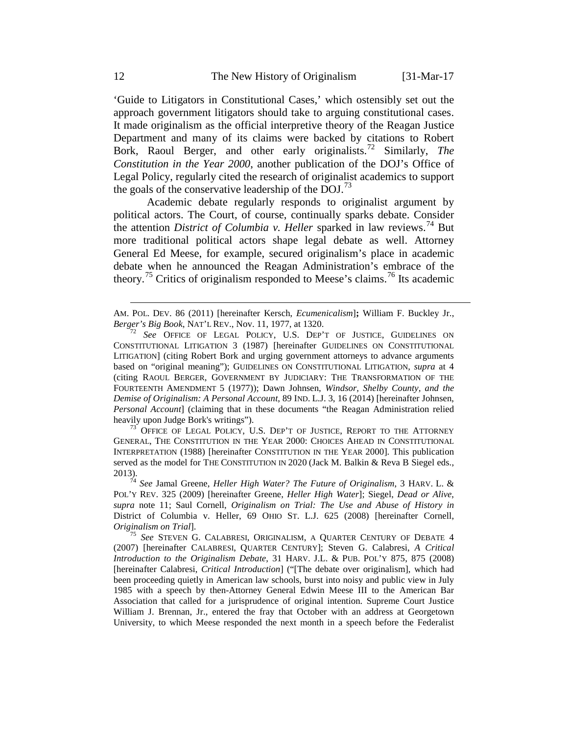'Guide to Litigators in Constitutional Cases,' which ostensibly set out the approach government litigators should take to arguing constitutional cases. It made originalism as the official interpretive theory of the Reagan Justice Department and many of its claims were backed by citations to Robert Bork, Raoul Berger, and other early originalists.[72](#page-13-0) Similarly, *The Constitution in the Year 2000*, another publication of the DOJ's Office of Legal Policy, regularly cited the research of originalist academics to support the goals of the conservative leadership of the  $DOL^{73}$  $DOL^{73}$  $DOL^{73}$ 

Academic debate regularly responds to originalist argument by political actors. The Court, of course, continually sparks debate. Consider the attention *District of Columbia v. Heller* sparked in law reviews. [74](#page-13-2) But more traditional political actors shape legal debate as well. Attorney General Ed Meese, for example, secured originalism's place in academic debate when he announced the Reagan Administration's embrace of the theory.<sup>[75](#page-13-3)</sup> Critics of originalism responded to Meese's claims.<sup>[76](#page-13-4)</sup> Its academic

<span id="page-13-1"></span>GENERAL, THE CONSTITUTION IN THE YEAR 2000: CHOICES AHEAD IN CONSTITUTIONAL INTERPRETATION (1988) [hereinafter CONSTITUTION IN THE YEAR 2000]. This publication served as the model for THE CONSTITUTION IN 2020 (Jack M. Balkin & Reva B Siegel eds.,

<span id="page-13-2"></span>2013). <sup>74</sup> *See* Jamal Greene, *Heller High Water? The Future of Originalism*, 3 HARV. L. & POL'Y REV. 325 (2009) [hereinafter Greene, *Heller High Water*]; Siegel, *Dead or Alive*, *supra* note [11;](#page-5-5) Saul Cornell, *Originalism on Trial: The Use and Abuse of History in*  District of Columbia v. Heller, 69 OHIO ST. L.J. 625 (2008) [hereinafter Cornell, *Originalism on Trial*]. <sup>75</sup> *See* STEVEN G. CALABRESI, ORIGINALISM, A QUARTER CENTURY OF DEBATE <sup>4</sup>

<span id="page-13-3"></span>(2007) [hereinafter CALABRESI, QUARTER CENTURY]; Steven G. Calabresi, *A Critical Introduction to the Originalism Debate*, 31 HARV. J.L. & PUB. POL'Y 875, 875 (2008) [hereinafter Calabresi, *Critical Introduction*] ("[The debate over originalism], which had been proceeding quietly in American law schools, burst into noisy and public view in July 1985 with a speech by then-Attorney General Edwin Meese III to the American Bar Association that called for a jurisprudence of original intention. Supreme Court Justice William J. Brennan, Jr., entered the fray that October with an address at Georgetown University, to which Meese responded the next month in a speech before the Federalist

 $\overline{a}$ 

AM. POL. DEV. 86 (2011) [hereinafter Kersch, *Ecumenicalism*]**;** William F. Buckley Jr.,

<span id="page-13-4"></span><span id="page-13-0"></span>*See* OFFICE OF LEGAL POLICY, U.S. DEP'T OF JUSTICE, GUIDELINES ON CONSTITUTIONAL LITIGATION 3 (1987) [hereinafter GUIDELINES ON CONSTITUTIONAL LITIGATION] (citing Robert Bork and urging government attorneys to advance arguments based on "original meaning"); GUIDELINES ON CONSTITUTIONAL LITIGATION, *supra* at 4 (citing RAOUL BERGER, GOVERNMENT BY JUDICIARY: THE TRANSFORMATION OF THE FOURTEENTH AMENDMENT 5 (1977)); Dawn Johnsen, *Windsor, Shelby County, and the Demise of Originalism: A Personal Account*, 89 IND. L.J. 3, 16 (2014) [hereinafter Johnsen, *Personal Account*] (claiming that in these documents "the Reagan Administration relied heavily upon Judge Bork's writings").<br><sup>73</sup> OFFICE OF LEGAL POLICY, U.S. DEP'T OF JUSTICE, REPORT TO THE ATTORNEY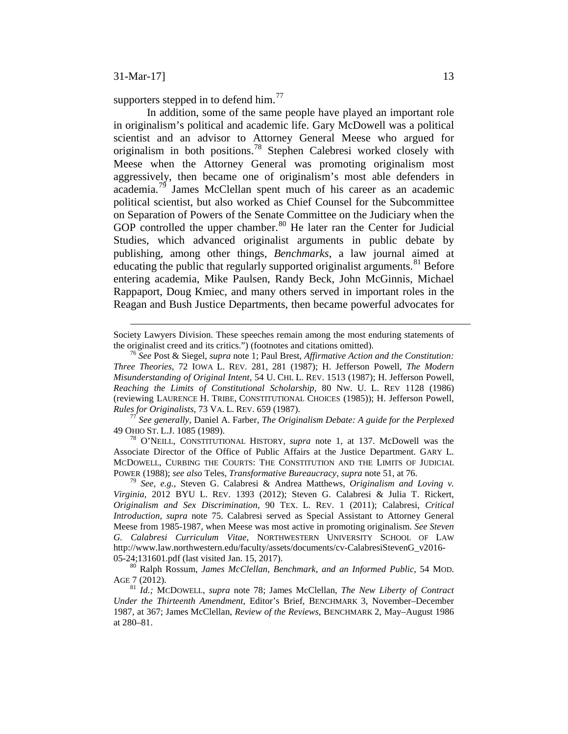supporters stepped in to defend him. $^{77}$  $^{77}$  $^{77}$ 

<span id="page-14-5"></span>In addition, some of the same people have played an important role in originalism's political and academic life. Gary McDowell was a political scientist and an advisor to Attorney General Meese who argued for originalism in both positions.[78](#page-14-1) Stephen Calebresi worked closely with Meese when the Attorney General was promoting originalism most aggressively, then became one of originalism's most able defenders in academia.<sup>[79](#page-14-2)</sup> James McClellan spent much of his career as an academic political scientist, but also worked as Chief Counsel for the Subcommittee on Separation of Powers of the Senate Committee on the Judiciary when the GOP controlled the upper chamber.<sup>[80](#page-14-3)</sup> He later ran the Center for Judicial Studies, which advanced originalist arguments in public debate by publishing, among other things, *Benchmarks*, a law journal aimed at educating the public that regularly supported originalist arguments.<sup>[81](#page-14-4)</sup> Before entering academia, Mike Paulsen, Randy Beck, John McGinnis, Michael Rappaport, Doug Kmiec, and many others served in important roles in the Reagan and Bush Justice Departments, then became powerful advocates for

 Society Lawyers Division. These speeches remain among the most enduring statements of the originalist creed and its critics.") (footnotes and citations omitted). <sup>76</sup> *See* Post & Siegel, *supra* note [1;](#page-2-0) Paul Brest, *Affirmative Action and the Constitution:* 

<span id="page-14-0"></span><sup>77</sup> See generally, Daniel A. Farber, *The Originalism Debate: A guide for the Perplexed* 49 OHIO ST. L.J. 1085 (1989). <sup>78</sup> O'NEILL, CONSTITUTIONAL HISTORY, *supra* note 1, at 137. McDowell was the

<span id="page-14-1"></span>Associate Director of the Office of Public Affairs at the Justice Department. GARY L. MCDOWELL, CURBING THE COURTS: THE CONSTITUTION AND THE LIMITS OF JUDICIAL POWER (1988); see also Teles, *Transformative Bureaucracy*, *supra* note 51, at 76.

<span id="page-14-2"></span><sup>79</sup> See, e.g., Steven G. Calabresi & Andrea Matthews, *Originalism and Loving v. Virginia*, 2012 BYU L. REV. 1393 (2012); Steven G. Calabresi & Julia T. Rickert, *Originalism and Sex Discrimination*, 90 TEX. L. REV. 1 (2011); Calabresi, *Critical Introduction*, *supra* note 75. Calabresi served as Special Assistant to Attorney General Meese from 1985-1987, when Meese was most active in promoting originalism. *See Steven G. Calabresi Curriculum Vitae*, NORTHWESTERN UNIVERSITY SCHOOL OF LAW http://www.law.northwestern.edu/faculty/assets/documents/cv-CalabresiStevenG\_v2016- 05-24;131601.pdf (last visited Jan. 15, 2017). <sup>80</sup> Ralph Rossum, *James McClellan, Benchmark, and an Informed Public*, 54 MOD.

<span id="page-14-3"></span>AGE 7 (2012).

<span id="page-14-4"></span><sup>81</sup> *Id.;* MCDOWELL, *supra* note 78; James McClellan, *The New Liberty of Contract Under the Thirteenth Amendment*, Editor's Brief, BENCHMARK 3, November–December 1987, at 367; James McClellan, *Review of the Reviews*, BENCHMARK 2, May–August 1986 at 280–81.

*Three Theories*, 72 IOWA L. REV. 281, 281 (1987); H. Jefferson Powell, *The Modern Misunderstanding of Original Intent*, 54 U. CHI. L. REV. 1513 (1987); H. Jefferson Powell, *Reaching the Limits of Constitutional Scholarship,* 80 NW. U. L. REV 1128 (1986) (reviewing LAURENCE H. TRIBE, CONSTITUTIONAL CHOICES (1985)); H. Jefferson Powell, Rules for Originalists, 73 VA. L. REV. 659 (1987).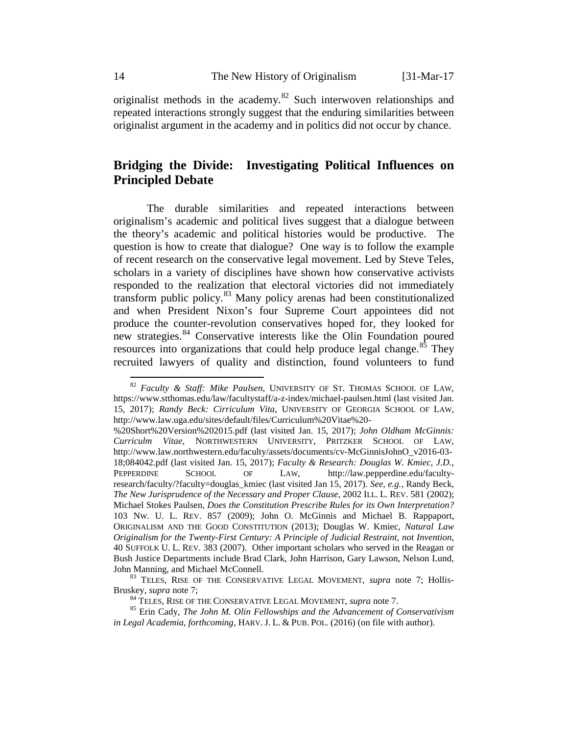originalist methods in the academy. $82$  Such interwoven relationships and repeated interactions strongly suggest that the enduring similarities between originalist argument in the academy and in politics did not occur by chance.

# **Bridging the Divide: Investigating Political Influences on Principled Debate**

The durable similarities and repeated interactions between originalism's academic and political lives suggest that a dialogue between the theory's academic and political histories would be productive. The question is how to create that dialogue? One way is to follow the example of recent research on the conservative legal movement. Led by Steve Teles, scholars in a variety of disciplines have shown how conservative activists responded to the realization that electoral victories did not immediately transform public policy.[83](#page-15-1) Many policy arenas had been constitutionalized and when President Nixon's four Supreme Court appointees did not produce the counter-revolution conservatives hoped for, they looked for new strategies.<sup>[84](#page-15-2)</sup> Conservative interests like the Olin Foundation poured resources into organizations that could help produce legal change.<sup>[85](#page-15-3)</sup> They recruited lawyers of quality and distinction, found volunteers to fund

<span id="page-15-0"></span> <sup>82</sup> *Faculty & Staff: Mike Paulsen*, UNIVERSITY OF ST. THOMAS SCHOOL OF LAW, https://www.stthomas.edu/law/facultystaff/a-z-index/michael-paulsen.html (last visited Jan. 15, 2017); *Randy Beck: Cirriculum Vita*, UNIVERSITY OF GEORGIA SCHOOL OF LAW, http://www.law.uga.edu/sites/default/files/Curriculum%20Vitae%20-

<sup>%20</sup>Short%20Version%202015.pdf (last visited Jan. 15, 2017); *John Oldham McGinnis: Curriculm Vitae*, NORTHWESTERN UNIVERSITY, PRITZKER SCHOOL OF LAW, http://www.law.northwestern.edu/faculty/assets/documents/cv-McGinnisJohnO\_v2016-03- 18;084042.pdf (last visited Jan. 15, 2017); *Faculty & Research: Douglas W. Kmiec, J.D.*, SCHOOL OF LAW, http://law.pepperdine.edu/facultyresearch/faculty/?faculty=douglas\_kmiec (last visited Jan 15, 2017). *See, e.g.,* Randy Beck, *The New Jurisprudence of the Necessary and Proper Clause*, 2002 ILL. L. REV. 581 (2002); Michael Stokes Paulsen, *Does the Constitution Prescribe Rules for its Own Interpretation?* 103 NW. U. L. REV. 857 (2009); John O. McGinnis and Michael B. Rappaport, ORIGINALISM AND THE GOOD CONSTITUTION (2013); Douglas W. Kmiec, *Natural Law Originalism for the Twenty-First Century: A Principle of Judicial Restraint, not Invention*, 40 SUFFOLK U. L. REV. 383 (2007). Other important scholars who served in the Reagan or Bush Justice Departments include Brad Clark, John Harrison, Gary Lawson, Nelson Lund, John Manning, and Michael McConnell. 83 TELES, RISE OF THE CONSERVATIVE LEGAL MOVEMENT, *supra* note [7;](#page-4-2) Hollis-

<span id="page-15-1"></span>Bruskey, *supra* not[e 7;](#page-4-2)<br><sup>84</sup> TELES, RISE OF THE CONSERVATIVE LEGAL MOVEMENT, *supra* note [7.](#page-4-2)<br><sup>85</sup> Erin Cady, *The John M. Olin Fellowships and the Advancement of Conservativism* 

<span id="page-15-3"></span><span id="page-15-2"></span>*in Legal Academia*, *forthcoming*, HARV. J. L. & PUB. POL. (2016) (on file with author).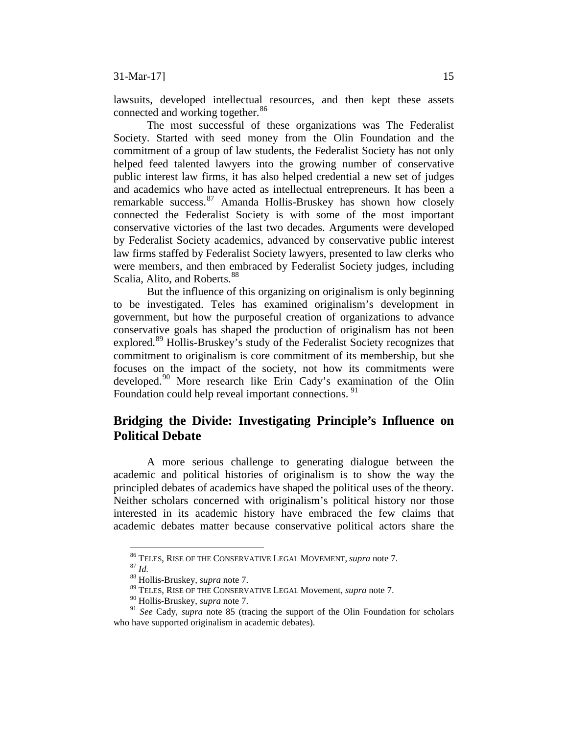lawsuits, developed intellectual resources, and then kept these assets connected and working together.<sup>[86](#page-16-0)</sup>

The most successful of these organizations was The Federalist Society. Started with seed money from the Olin Foundation and the commitment of a group of law students, the Federalist Society has not only helped feed talented lawyers into the growing number of conservative public interest law firms, it has also helped credential a new set of judges and academics who have acted as intellectual entrepreneurs. It has been a remarkable success.  $87$  Amanda Hollis-Bruskey has shown how closely connected the Federalist Society is with some of the most important conservative victories of the last two decades. Arguments were developed by Federalist Society academics, advanced by conservative public interest law firms staffed by Federalist Society lawyers, presented to law clerks who were members, and then embraced by Federalist Society judges, including Scalia, Alito, and Roberts.<sup>[88](#page-16-2)</sup>

But the influence of this organizing on originalism is only beginning to be investigated. Teles has examined originalism's development in government, but how the purposeful creation of organizations to advance conservative goals has shaped the production of originalism has not been explored.<sup>[89](#page-16-3)</sup> Hollis-Bruskey's study of the Federalist Society recognizes that commitment to originalism is core commitment of its membership, but she focuses on the impact of the society, not how its commitments were developed.<sup>[90](#page-16-4)</sup> More research like Erin Cady's examination of the Olin Foundation could help reveal important connections. <sup>[91](#page-16-5)</sup>

## **Bridging the Divide: Investigating Principle's Influence on Political Debate**

A more serious challenge to generating dialogue between the academic and political histories of originalism is to show the way the principled debates of academics have shaped the political uses of the theory. Neither scholars concerned with originalism's political history nor those interested in its academic history have embraced the few claims that academic debates matter because conservative political actors share the

<sup>&</sup>lt;sup>86</sup> TELES, RISE OF THE CONSERVATIVE LEGAL MOVEMENT, *supra* note [7.](#page-4-2)<br><sup>87</sup> *Id.*<br><sup>88</sup> Hollis-Bruskey, *supra* note 7.<br><sup>89</sup> TELES, RISE OF THE CONSERVATIVE LEGAL Movement, *supra* note 7.<br><sup>90</sup> Hollis-Bruskey, *supra* note 7

<span id="page-16-5"></span><span id="page-16-4"></span><span id="page-16-3"></span><span id="page-16-2"></span><span id="page-16-1"></span><span id="page-16-0"></span>who have supported originalism in academic debates).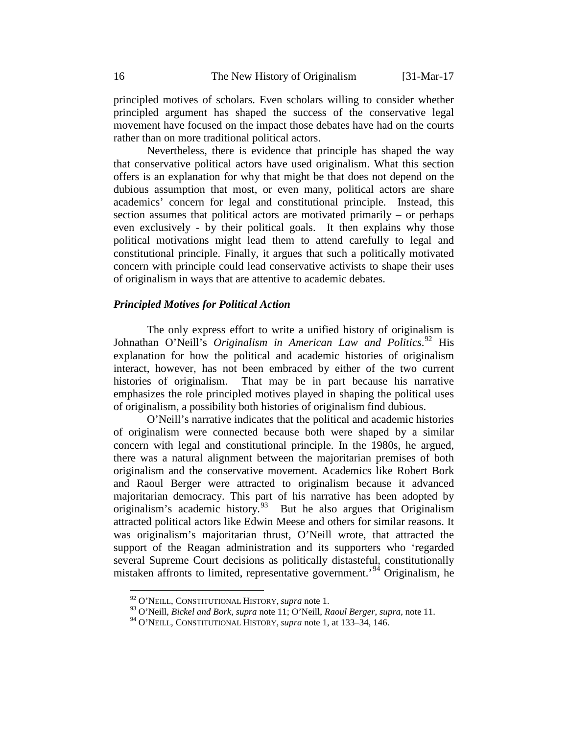principled motives of scholars. Even scholars willing to consider whether principled argument has shaped the success of the conservative legal movement have focused on the impact those debates have had on the courts rather than on more traditional political actors.

Nevertheless, there is evidence that principle has shaped the way that conservative political actors have used originalism. What this section offers is an explanation for why that might be that does not depend on the dubious assumption that most, or even many, political actors are share academics' concern for legal and constitutional principle. Instead, this section assumes that political actors are motivated primarily – or perhaps even exclusively - by their political goals. It then explains why those political motivations might lead them to attend carefully to legal and constitutional principle. Finally, it argues that such a politically motivated concern with principle could lead conservative activists to shape their uses of originalism in ways that are attentive to academic debates.

#### *Principled Motives for Political Action*

The only express effort to write a unified history of originalism is Johnathan O'Neill's *Originalism in American Law and Politics*. [92](#page-17-0) His explanation for how the political and academic histories of originalism interact, however, has not been embraced by either of the two current histories of originalism. That may be in part because his narrative emphasizes the role principled motives played in shaping the political uses of originalism, a possibility both histories of originalism find dubious.

O'Neill's narrative indicates that the political and academic histories of originalism were connected because both were shaped by a similar concern with legal and constitutional principle. In the 1980s, he argued, there was a natural alignment between the majoritarian premises of both originalism and the conservative movement. Academics like Robert Bork and Raoul Berger were attracted to originalism because it advanced majoritarian democracy. This part of his narrative has been adopted by originalism's academic history.<sup>[93](#page-17-1)</sup> But he also argues that Originalism attracted political actors like Edwin Meese and others for similar reasons. It was originalism's majoritarian thrust, O'Neill wrote, that attracted the support of the Reagan administration and its supporters who 'regarded several Supreme Court decisions as politically distasteful, constitutionally mistaken affronts to limited, representative government.<sup>'[94](#page-17-2)</sup> Originalism, he

<span id="page-17-0"></span><sup>92</sup> O'NEILL, CONSTITUTIONAL HISTORY, *supra* note [1.](#page-2-0) <sup>93</sup> O'Neill, *Bickel and Bork*, *supra* note 11; O'Neill, *Raoul Berger*, *supra*, note 11.

<span id="page-17-2"></span><span id="page-17-1"></span><sup>94</sup> O'NEILL, CONSTITUTIONAL HISTORY, *supra* note [1,](#page-2-0) at 133–34, 146.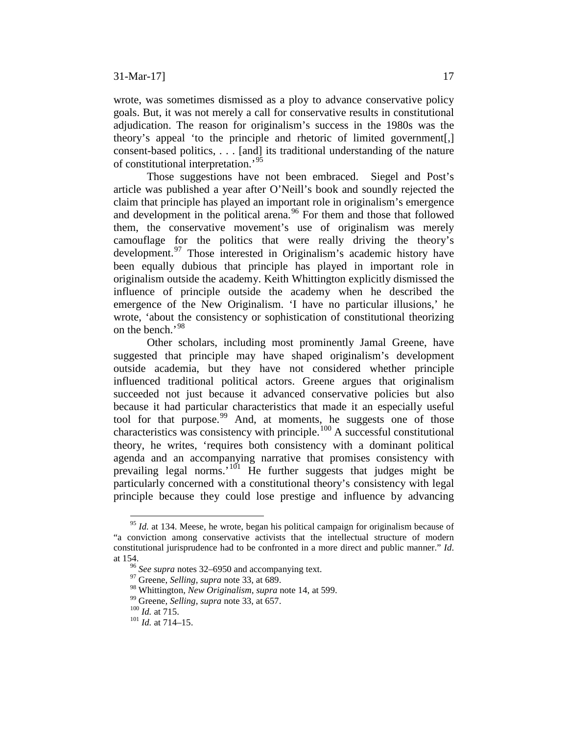wrote, was sometimes dismissed as a ploy to advance conservative policy goals. But, it was not merely a call for conservative results in constitutional adjudication. The reason for originalism's success in the 1980s was the theory's appeal 'to the principle and rhetoric of limited government[,] consent-based politics, . . . [and] its traditional understanding of the nature of constitutional interpretation.' [95](#page-18-0)

Those suggestions have not been embraced. Siegel and Post's article was published a year after O'Neill's book and soundly rejected the claim that principle has played an important role in originalism's emergence and development in the political arena.<sup>[96](#page-18-1)</sup> For them and those that followed them, the conservative movement's use of originalism was merely camouflage for the politics that were really driving the theory's development.<sup>[97](#page-18-2)</sup> Those interested in Originalism's academic history have been equally dubious that principle has played in important role in originalism outside the academy. Keith Whittington explicitly dismissed the influence of principle outside the academy when he described the emergence of the New Originalism. 'I have no particular illusions,' he wrote, 'about the consistency or sophistication of constitutional theorizing on the bench.'<sup>[98](#page-18-3)</sup>

Other scholars, including most prominently Jamal Greene, have suggested that principle may have shaped originalism's development outside academia, but they have not considered whether principle influenced traditional political actors. Greene argues that originalism succeeded not just because it advanced conservative policies but also because it had particular characteristics that made it an especially useful tool for that purpose.<sup>[99](#page-18-4)</sup> And, at moments, he suggests one of those characteristics was consistency with principle.<sup>[100](#page-18-5)</sup> A successful constitutional theory, he writes, 'requires both consistency with a dominant political agenda and an accompanying narrative that promises consistency with prevailing legal norms.<sup>'[101](#page-18-6)</sup> He further suggests that judges might be particularly concerned with a constitutional theory's consistency with legal principle because they could lose prestige and influence by advancing

<span id="page-18-0"></span><sup>&</sup>lt;sup>95</sup> *Id.* at 134. Meese, he wrote, began his political campaign for originalism because of "a conviction among conservative activists that the intellectual structure of modern constitutional jurisprudence had to be confronted in a more direct and public manner." *Id*.

<span id="page-18-6"></span><span id="page-18-5"></span><span id="page-18-4"></span><span id="page-18-3"></span><span id="page-18-2"></span><span id="page-18-1"></span>at 154.<br>
<sup>96</sup> See supra notes 32–6[950](#page-10-8) and accompanying text.<br>
<sup>97</sup> Greene, *Selling*, *supra* note [33,](#page-8-5) at 689.<br>
<sup>98</sup> Whittington, *New Originalism*, *supra* note [14,](#page-6-0) at 599.<br>
<sup>99</sup> Greene, *Selling*, *supra* note 33, at 65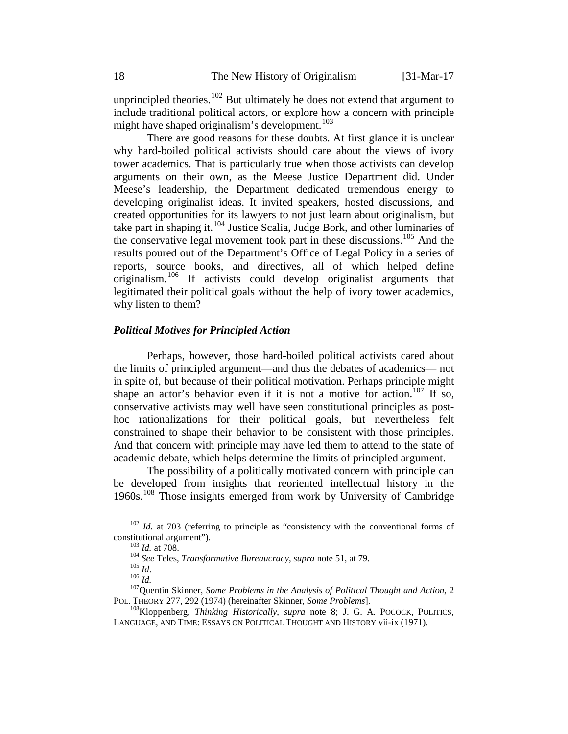unprincipled theories.<sup>[102](#page-19-0)</sup> But ultimately he does not extend that argument to include traditional political actors, or explore how a concern with principle might have shaped originalism's development. [103](#page-19-1)

There are good reasons for these doubts. At first glance it is unclear why hard-boiled political activists should care about the views of ivory tower academics. That is particularly true when those activists can develop arguments on their own, as the Meese Justice Department did. Under Meese's leadership, the Department dedicated tremendous energy to developing originalist ideas. It invited speakers, hosted discussions, and created opportunities for its lawyers to not just learn about originalism, but take part in shaping it.[104](#page-19-2) Justice Scalia, Judge Bork, and other luminaries of the conservative legal movement took part in these discussions.<sup>[105](#page-19-3)</sup> And the results poured out of the Department's Office of Legal Policy in a series of reports, source books, and directives, all of which helped define originalism.[106](#page-19-4) If activists could develop originalist arguments that legitimated their political goals without the help of ivory tower academics, why listen to them?

### *Political Motives for Principled Action*

<span id="page-19-8"></span>Perhaps, however, those hard-boiled political activists cared about the limits of principled argument—and thus the debates of academics— not in spite of, but because of their political motivation. Perhaps principle might shape an actor's behavior even if it is not a motive for action.<sup>[107](#page-19-5)</sup> If so, conservative activists may well have seen constitutional principles as posthoc rationalizations for their political goals, but nevertheless felt constrained to shape their behavior to be consistent with those principles. And that concern with principle may have led them to attend to the state of academic debate, which helps determine the limits of principled argument.

<span id="page-19-7"></span>The possibility of a politically motivated concern with principle can be developed from insights that reoriented intellectual history in the 1960s.<sup>[108](#page-19-6)</sup> Those insights emerged from work by University of Cambridge

<span id="page-19-0"></span> $102$  *Id.* at 703 (referring to principle as "consistency with the conventional forms of constitutional argument").

<span id="page-19-3"></span><span id="page-19-2"></span><span id="page-19-1"></span><sup>&</sup>lt;sup>103</sup> *Id.* at 708.<br><sup>104</sup> *See* Teles, *Transformative Bureaucracy*, *supra* note 51, at 79.<br><sup>105</sup> *Id.*<br><sup>107</sup> Quentin Skinner, *Some Problems in the Analysis of Political Thought and Action*, 2 POL. THEORY 277, 292 (1974) (hereinafter Skinner, *Some Problems*].<br><sup>108</sup>Kloppenberg, *Thinking Historically*, *supra* note [8;](#page-4-3) J. G. A. POCOCK, POLITICS,

<span id="page-19-6"></span><span id="page-19-5"></span><span id="page-19-4"></span>LANGUAGE, AND TIME: ESSAYS ON POLITICAL THOUGHT AND HISTORY vii-ix (1971).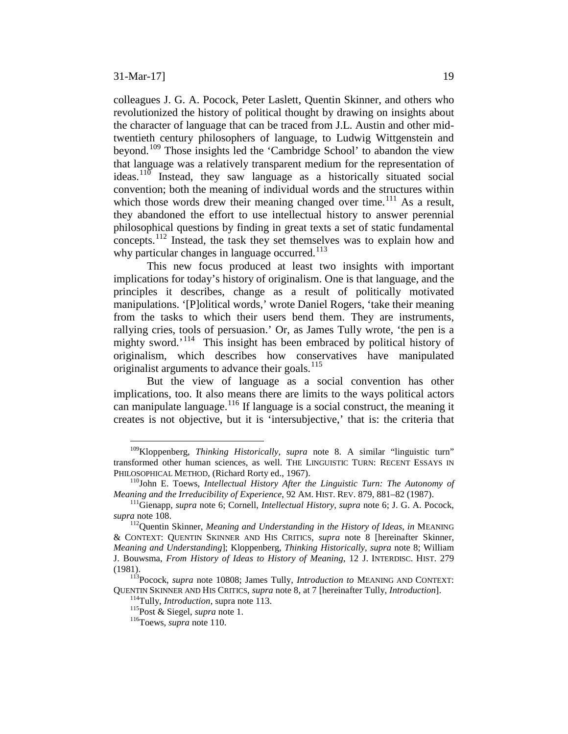colleagues J. G. A. Pocock, Peter Laslett, Quentin Skinner, and others who revolutionized the history of political thought by drawing on insights about the character of language that can be traced from J.L. Austin and other midtwentieth century philosophers of language, to Ludwig Wittgenstein and beyond. [109](#page-20-0) Those insights led the 'Cambridge School' to abandon the view that language was a relatively transparent medium for the representation of ideas.<sup>[110](#page-20-1)</sup> Instead, they saw language as a historically situated social convention; both the meaning of individual words and the structures within which those words drew their meaning changed over time.<sup>[111](#page-20-2)</sup> As a result, they abandoned the effort to use intellectual history to answer perennial philosophical questions by finding in great texts a set of static fundamental concepts.[112](#page-20-3) Instead, the task they set themselves was to explain how and why particular changes in language occurred.<sup>[113](#page-20-4)</sup>

This new focus produced at least two insights with important implications for today's history of originalism. One is that language, and the principles it describes, change as a result of politically motivated manipulations. '[P]olitical words,' wrote Daniel Rogers, 'take their meaning from the tasks to which their users bend them. They are instruments, rallying cries, tools of persuasion.' Or, as James Tully wrote, 'the pen is a mighty sword.<sup>'[114](#page-20-5)</sup> This insight has been embraced by political history of originalism, which describes how conservatives have manipulated originalist arguments to advance their goals.<sup>[115](#page-20-6)</sup>

But the view of language as a social convention has other implications, too. It also means there are limits to the ways political actors can manipulate language.<sup>[116](#page-20-7)</sup> If language is a social construct, the meaning it creates is not objective, but it is 'intersubjective,' that is: the criteria that

<span id="page-20-0"></span> <sup>109</sup>Kloppenberg, *Thinking Historically*, *supra* note [8.](#page-4-3) A similar "linguistic turn" transformed other human sciences, as well. THE LINGUISTIC TURN: RECENT ESSAYS IN PHILOSOPHICAL METHOD, (Richard Rorty ed., 1967).

<span id="page-20-1"></span><sup>&</sup>lt;sup>110</sup>John E. Toews, *Intellectual History After the Linguistic Turn: The Autonomy of Meaning and the Irreducibility of Experience, 92 AM. HIST. REV. 879, 881–82 (1987).* 

<span id="page-20-2"></span><sup>&</sup>lt;sup>111</sup>Gienapp, *supra* note 6; Cornell, *Intellectual History*, *supra* note 6; J. G. A. Pocock, *supra* note [108.](#page-19-7)<br><sup>112</sup>Quentin Skinner, *Meaning and Understanding in the History of Ideas*, *in* MEANING

<span id="page-20-3"></span><sup>&</sup>amp; CONTEXT: QUENTIN SKINNER AND HIS CRITICS, *supra* note [8](#page-4-3) [hereinafter Skinner, *Meaning and Understanding*]; Kloppenberg, *Thinking Historically*, *supra* note [8;](#page-4-3) William J. Bouwsma, *From History of Ideas to History of Meaning*, 12 J. INTERDISC. HIST. 279 (1981). 113Pocock, *supra* note [1080](#page-19-7)8; James Tully, *Introduction to* MEANING AND CONTEXT:

<span id="page-20-7"></span><span id="page-20-6"></span><span id="page-20-5"></span><span id="page-20-4"></span>QUENTIN SKINNER AND HIS CRITICS, *supra* note [8,](#page-4-3) at 7 [hereinafter Tully, *Introduction*].<br><sup>114</sup>Tully, *Introduction*, supra note 113.<br><sup>115</sup>Post & Siegel, *supra* note [1.](#page-2-0)<br><sup>116</sup>Toews, *supra* note 110.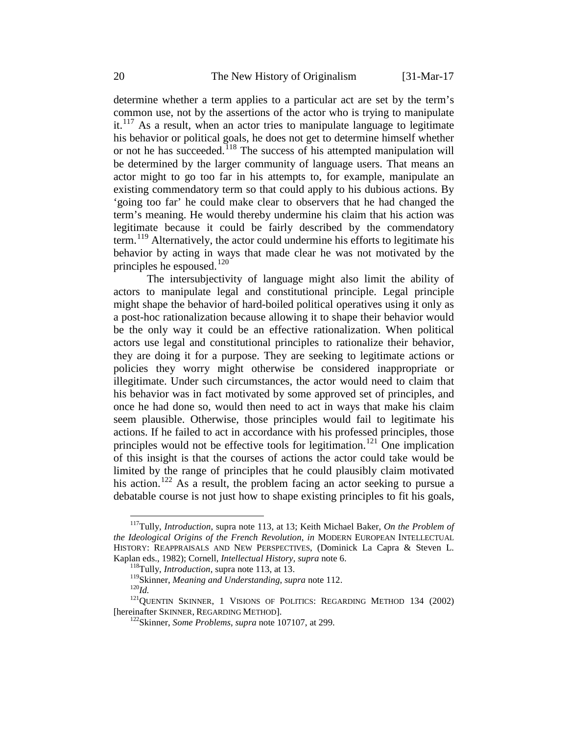determine whether a term applies to a particular act are set by the term's common use, not by the assertions of the actor who is trying to manipulate it.<sup>[117](#page-21-0)</sup> As a result, when an actor tries to manipulate language to legitimate his behavior or political goals, he does not get to determine himself whether or not he has succeeded.<sup>[118](#page-21-1)</sup> The success of his attempted manipulation will be determined by the larger community of language users. That means an actor might to go too far in his attempts to, for example, manipulate an existing commendatory term so that could apply to his dubious actions. By 'going too far' he could make clear to observers that he had changed the term's meaning. He would thereby undermine his claim that his action was legitimate because it could be fairly described by the commendatory term.<sup>[119](#page-21-2)</sup> Alternatively, the actor could undermine his efforts to legitimate his behavior by acting in ways that made clear he was not motivated by the principles he espoused.<sup>[120](#page-21-3)</sup>

The intersubjectivity of language might also limit the ability of actors to manipulate legal and constitutional principle. Legal principle might shape the behavior of hard-boiled political operatives using it only as a post-hoc rationalization because allowing it to shape their behavior would be the only way it could be an effective rationalization. When political actors use legal and constitutional principles to rationalize their behavior, they are doing it for a purpose. They are seeking to legitimate actions or policies they worry might otherwise be considered inappropriate or illegitimate. Under such circumstances, the actor would need to claim that his behavior was in fact motivated by some approved set of principles, and once he had done so, would then need to act in ways that make his claim seem plausible. Otherwise, those principles would fail to legitimate his actions. If he failed to act in accordance with his professed principles, those principles would not be effective tools for legitimation.<sup>[121](#page-21-4)</sup> One implication of this insight is that the courses of actions the actor could take would be limited by the range of principles that he could plausibly claim motivated his action.<sup>[122](#page-21-5)</sup> As a result, the problem facing an actor seeking to pursue a debatable course is not just how to shape existing principles to fit his goals,

<span id="page-21-0"></span> <sup>117</sup>Tully, *Introduction*, supra note 113, at 13; Keith Michael Baker, *On the Problem of the Ideological Origins of the French Revolution*, *in* MODERN EUROPEAN INTELLECTUAL HISTORY: REAPPRAISALS AND NEW PERSPECTIVES, (Dominick La Capra & Steven L.

<span id="page-21-5"></span><span id="page-21-4"></span><span id="page-21-3"></span><span id="page-21-2"></span><span id="page-21-1"></span>Kaplan eds., 1982); Cornell, *Intellectual History*, *supra* note 6.<br><sup>118</sup>Tully, *Introduction*, supra note 113, at 13.<br><sup>119</sup>Skinner, *Meaning and Understanding*, *supra* note 112.<br><sup>121</sup>QUENTIN SKINNER, 1 VISIONS OF POLIT

<sup>&</sup>lt;sup>122</sup>Skinner, *Some Problems*, *supra* note 10[7107,](#page-19-8) at 299.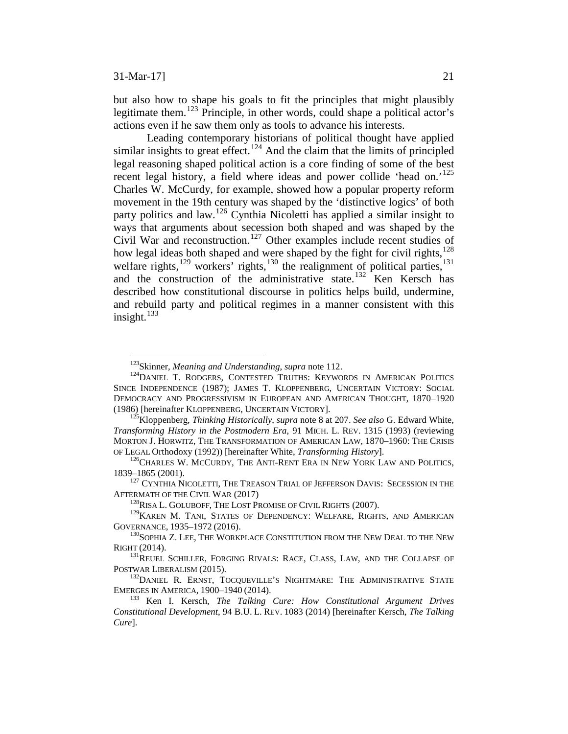but also how to shape his goals to fit the principles that might plausibly legitimate them.[123](#page-22-0) Principle, in other words, could shape a political actor's actions even if he saw them only as tools to advance his interests.

Leading contemporary historians of political thought have applied similar insights to great effect.<sup>[124](#page-22-1)</sup> And the claim that the limits of principled legal reasoning shaped political action is a core finding of some of the best recent legal history, a field where ideas and power collide 'head on.'<sup>[125](#page-22-2)</sup> Charles W. McCurdy, for example, showed how a popular property reform movement in the 19th century was shaped by the 'distinctive logics' of both party politics and law.[126](#page-22-3) Cynthia Nicoletti has applied a similar insight to ways that arguments about secession both shaped and was shaped by the Civil War and reconstruction.<sup>[127](#page-22-4)</sup> Other examples include recent studies of how legal ideas both shaped and were shaped by the fight for civil rights, $128$ welfare rights, $129$  workers' rights, $130$  the realignment of political parties, $131$ and the construction of the administrative state.<sup>[132](#page-22-9)</sup> Ken Kersch has described how constitutional discourse in politics helps build, undermine, and rebuild party and political regimes in a manner consistent with this insight. [133](#page-22-10)

 $128$ RISA L. GOLUBOFF, THE LOST PROMISE OF CIVIL RIGHTS (2007).

<span id="page-22-1"></span><span id="page-22-0"></span><sup>&</sup>lt;sup>123</sup>Skinner, *Meaning and Understanding*, *supra* note 112.<br><sup>124</sup>DANIEL T. RODGERS, CONTESTED TRUTHS: KEYWORDS IN AMERICAN POLITICS SINCE INDEPENDENCE (1987); JAMES T. KLOPPENBERG, UNCERTAIN VICTORY: SOCIAL DEMOCRACY AND PROGRESSIVISM IN EUROPEAN AND AMERICAN THOUGHT, 1870–1920<br>(1986) [hereinafter Kloppenberg, Uncertain Victory].

<span id="page-22-2"></span><sup>&</sup>lt;sup>125</sup>Kloppenberg, *Thinking Historically, supra* note 8 at 207. *See also* G. Edward White, *Transforming History in the Postmodern Era*, 91 MICH. L. REV. 1315 (1993) (reviewing MORTON J. HORWITZ, THE TRANSFORMATION OF AMERICAN LAW, 1870–1960: THE CRISIS

<span id="page-22-3"></span>OF LEGAL Orthodoxy (1992)) [hereinafter White, *Transforming History*].<br><sup>126</sup>CHARLES W. MCCURDY, THE ANTI-RENT ERA IN NEW YORK LAW AND POLITICS, 1839–1865 (2001).

<span id="page-22-4"></span> $^{127}$  CYNTHIA NICOLETTI, THE TREASON TRIAL OF JEFFERSON DAVIS: SECESSION IN THE AFTERMATH OF THE CIVIL WAR (2017)

<span id="page-22-6"></span><span id="page-22-5"></span> $^{129}\text{KAREN}$  M. TANI, STATES OF DEPENDENCY: WELFARE, RIGHTS, AND AMERICAN GOVERNANCE, 1935–1972 (2016).

<span id="page-22-7"></span> $^{130}\rm{S}$ OPHIA Z. LEE, THE WORKPLACE CONSTITUTION FROM THE NEW DEAL TO THE NEW RIGHT (2014).<br><sup>131</sup>REUEL SCHILLER, FORGING RIVALS: RACE, CLASS, LAW, AND THE COLLAPSE OF

<span id="page-22-9"></span><span id="page-22-8"></span>POSTWAR LIBERALISM (2015).<br><sup>132</sup>DANIEL R. ERNST, TOCQUEVILLE'S NIGHTMARE: THE ADMINISTRATIVE STATE EMERGES IN AMERICA, 1900–1940 (2014).

<span id="page-22-10"></span><sup>&</sup>lt;sup>133</sup> Ken I. Kersch, *The Talking Cure: How Constitutional Argument Drives Constitutional Development*, 94 B.U. L. REV. 1083 (2014) [hereinafter Kersch, *The Talking Cure*].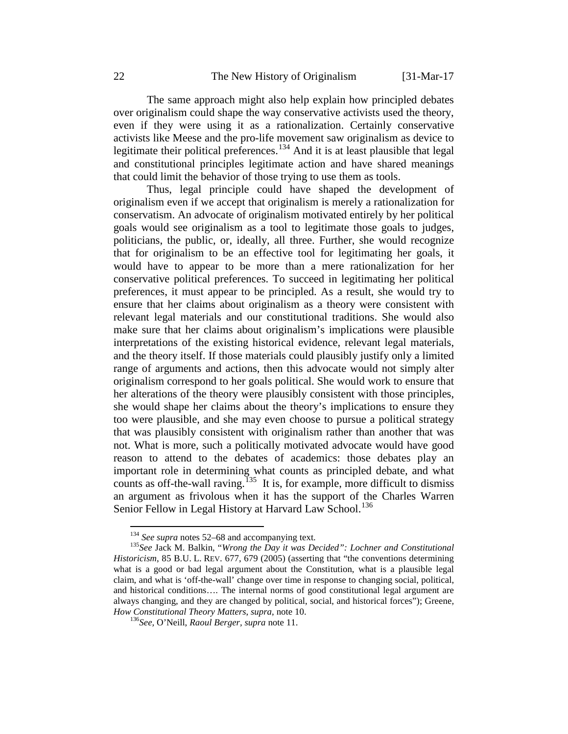The same approach might also help explain how principled debates over originalism could shape the way conservative activists used the theory, even if they were using it as a rationalization. Certainly conservative activists like Meese and the pro-life movement saw originalism as device to legitimate their political preferences.<sup>[134](#page-23-0)</sup> And it is at least plausible that legal and constitutional principles legitimate action and have shared meanings that could limit the behavior of those trying to use them as tools.

Thus, legal principle could have shaped the development of originalism even if we accept that originalism is merely a rationalization for conservatism. An advocate of originalism motivated entirely by her political goals would see originalism as a tool to legitimate those goals to judges, politicians, the public, or, ideally, all three. Further, she would recognize that for originalism to be an effective tool for legitimating her goals, it would have to appear to be more than a mere rationalization for her conservative political preferences. To succeed in legitimating her political preferences, it must appear to be principled. As a result, she would try to ensure that her claims about originalism as a theory were consistent with relevant legal materials and our constitutional traditions. She would also make sure that her claims about originalism's implications were plausible interpretations of the existing historical evidence, relevant legal materials, and the theory itself. If those materials could plausibly justify only a limited range of arguments and actions, then this advocate would not simply alter originalism correspond to her goals political. She would work to ensure that her alterations of the theory were plausibly consistent with those principles, she would shape her claims about the theory's implications to ensure they too were plausible, and she may even choose to pursue a political strategy that was plausibly consistent with originalism rather than another that was not. What is more, such a politically motivated advocate would have good reason to attend to the debates of academics: those debates play an important role in determining what counts as principled debate, and what counts as off-the-wall raving.<sup>135</sup> It is, for example, more difficult to dismiss an argument as frivolous when it has the support of the Charles Warren Senior Fellow in Legal History at Harvard Law School.<sup>[136](#page-23-2)</sup>

<span id="page-23-1"></span><span id="page-23-0"></span><sup>&</sup>lt;sup>134</sup> *See supra* notes 52–68 and accompanying text.<br><sup>135</sup>*See* Jack M. Balkin, "*Wrong the Day it was Decided": Lochner and Constitutional Historicism*, 85 B.U. L. REV. 677, 679 (2005) (asserting that "the conventions determining what is a good or bad legal argument about the Constitution, what is a plausible legal claim, and what is 'off-the-wall' change over time in response to changing social, political, and historical conditions…. The internal norms of good constitutional legal argument are always changing, and they are changed by political, social, and historical forces"); Greene*, How Constitutional Theory Matters*, *supra*, note [10.](#page-5-4) <sup>136</sup>*See,* O'Neill, *Raoul Berger, supra* note 11.

<span id="page-23-2"></span>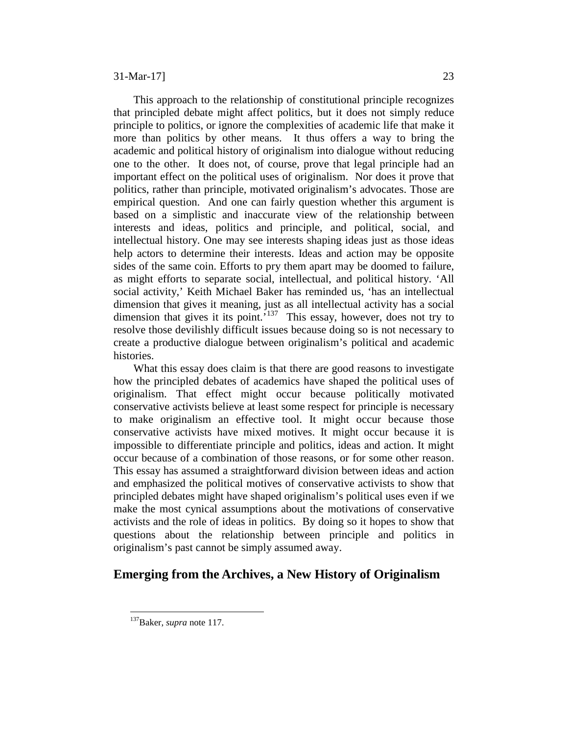#### 31-Mar-17] 23

This approach to the relationship of constitutional principle recognizes that principled debate might affect politics, but it does not simply reduce principle to politics, or ignore the complexities of academic life that make it more than politics by other means. It thus offers a way to bring the academic and political history of originalism into dialogue without reducing one to the other. It does not, of course, prove that legal principle had an important effect on the political uses of originalism. Nor does it prove that politics, rather than principle, motivated originalism's advocates. Those are empirical question. And one can fairly question whether this argument is based on a simplistic and inaccurate view of the relationship between interests and ideas, politics and principle, and political, social, and intellectual history. One may see interests shaping ideas just as those ideas help actors to determine their interests. Ideas and action may be opposite sides of the same coin. Efforts to pry them apart may be doomed to failure, as might efforts to separate social, intellectual, and political history. 'All social activity,' Keith Michael Baker has reminded us, 'has an intellectual dimension that gives it meaning, just as all intellectual activity has a social dimension that gives it its point.<sup>[137](#page-24-0)</sup> This essay, however, does not try to resolve those devilishly difficult issues because doing so is not necessary to create a productive dialogue between originalism's political and academic histories.

What this essay does claim is that there are good reasons to investigate how the principled debates of academics have shaped the political uses of originalism. That effect might occur because politically motivated conservative activists believe at least some respect for principle is necessary to make originalism an effective tool. It might occur because those conservative activists have mixed motives. It might occur because it is impossible to differentiate principle and politics, ideas and action. It might occur because of a combination of those reasons, or for some other reason. This essay has assumed a straightforward division between ideas and action and emphasized the political motives of conservative activists to show that principled debates might have shaped originalism's political uses even if we make the most cynical assumptions about the motivations of conservative activists and the role of ideas in politics. By doing so it hopes to show that questions about the relationship between principle and politics in originalism's past cannot be simply assumed away.

### <span id="page-24-0"></span>**Emerging from the Archives, a New History of Originalism**

 <sup>137</sup>Baker, *supra* note 117.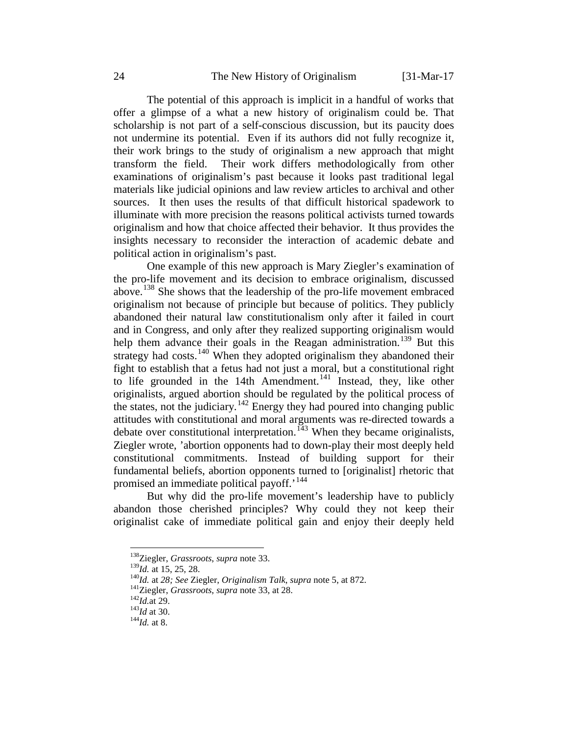The potential of this approach is implicit in a handful of works that offer a glimpse of a what a new history of originalism could be. That scholarship is not part of a self-conscious discussion, but its paucity does not undermine its potential. Even if its authors did not fully recognize it, their work brings to the study of originalism a new approach that might transform the field. Their work differs methodologically from other examinations of originalism's past because it looks past traditional legal materials like judicial opinions and law review articles to archival and other sources. It then uses the results of that difficult historical spadework to illuminate with more precision the reasons political activists turned towards originalism and how that choice affected their behavior. It thus provides the insights necessary to reconsider the interaction of academic debate and political action in originalism's past.

One example of this new approach is Mary Ziegler's examination of the pro-life movement and its decision to embrace originalism, discussed above.<sup>[138](#page-25-0)</sup> She shows that the leadership of the pro-life movement embraced originalism not because of principle but because of politics. They publicly abandoned their natural law constitutionalism only after it failed in court and in Congress, and only after they realized supporting originalism would help them advance their goals in the Reagan administration.<sup>[139](#page-25-1)</sup> But this strategy had costs.<sup>[140](#page-25-2)</sup> When they adopted originalism they abandoned their fight to establish that a fetus had not just a moral, but a constitutional right to life grounded in the 14th Amendment.<sup>[141](#page-25-3)</sup> Instead, they, like other originalists, argued abortion should be regulated by the political process of the states, not the judiciary.<sup>[142](#page-25-4)</sup> Energy they had poured into changing public attitudes with constitutional and moral arguments was re-directed towards a debate over constitutional interpretation.<sup>[143](#page-25-5)</sup> When they became originalists, Ziegler wrote, 'abortion opponents had to down-play their most deeply held constitutional commitments. Instead of building support for their fundamental beliefs, abortion opponents turned to [originalist] rhetoric that promised an immediate political payoff.<sup>'[144](#page-25-6)</sup>

But why did the pro-life movement's leadership have to publicly abandon those cherished principles? Why could they not keep their originalist cake of immediate political gain and enjoy their deeply held

<span id="page-25-0"></span>

<span id="page-25-3"></span><span id="page-25-2"></span><span id="page-25-1"></span>

<sup>&</sup>lt;sup>138</sup>Ziegler, *Grassroots*, *supra* note [33.](#page-8-5)<br>
<sup>139</sup>*Id.* at 15, 25, 28.<br>
<sup>140</sup>*Id.* at 28; See Ziegler, *Originalism Talk*, *supra* note [5,](#page-3-4) at 872.<br>
<sup>141</sup>Ziegler, *Grassroots*, *supra* note [33,](#page-8-5) at 28.<br>
<sup>142</sup>*Id.* at 29.<br>

<span id="page-25-4"></span>

<span id="page-25-5"></span>

<span id="page-25-6"></span>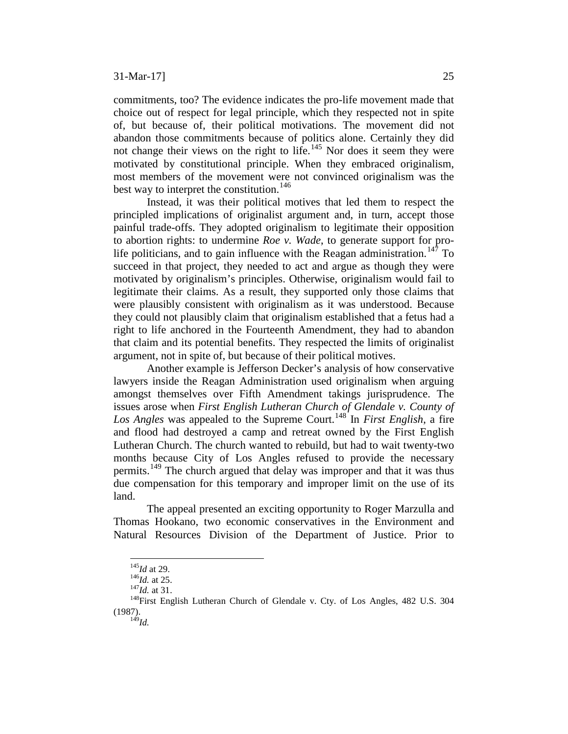commitments, too? The evidence indicates the pro-life movement made that choice out of respect for legal principle, which they respected not in spite of, but because of, their political motivations. The movement did not abandon those commitments because of politics alone. Certainly they did not change their views on the right to life.<sup>[145](#page-26-0)</sup> Nor does it seem they were motivated by constitutional principle. When they embraced originalism, most members of the movement were not convinced originalism was the best way to interpret the constitution.<sup>[146](#page-26-1)</sup>

Instead, it was their political motives that led them to respect the principled implications of originalist argument and, in turn, accept those painful trade-offs. They adopted originalism to legitimate their opposition to abortion rights: to undermine *Roe v. Wade*, to generate support for pro-life politicians, and to gain influence with the Reagan administration.<sup>[147](#page-26-2)</sup> To succeed in that project, they needed to act and argue as though they were motivated by originalism's principles. Otherwise, originalism would fail to legitimate their claims. As a result, they supported only those claims that were plausibly consistent with originalism as it was understood. Because they could not plausibly claim that originalism established that a fetus had a right to life anchored in the Fourteenth Amendment, they had to abandon that claim and its potential benefits. They respected the limits of originalist argument, not in spite of, but because of their political motives.

Another example is Jefferson Decker's analysis of how conservative lawyers inside the Reagan Administration used originalism when arguing amongst themselves over Fifth Amendment takings jurisprudence. The issues arose when *First English Lutheran Church of Glendale v. County of* Los Angles was appealed to the Supreme Court.<sup>[148](#page-26-3)</sup> In *First English*, a fire and flood had destroyed a camp and retreat owned by the First English Lutheran Church. The church wanted to rebuild, but had to wait twenty-two months because City of Los Angles refused to provide the necessary permits.<sup>[149](#page-26-4)</sup> The church argued that delay was improper and that it was thus due compensation for this temporary and improper limit on the use of its land.

The appeal presented an exciting opportunity to Roger Marzulla and Thomas Hookano, two economic conservatives in the Environment and Natural Resources Division of the Department of Justice. Prior to

<span id="page-26-4"></span><span id="page-26-3"></span><span id="page-26-2"></span><span id="page-26-1"></span><span id="page-26-0"></span><sup>&</sup>lt;sup>145</sup>*Id* at 29.<br><sup>146</sup>*Id.* at 25.<br><sup>147</sup>*Id.* at 31.<br><sup>148</sup>First English Lutheran Church of Glendale v. Cty. of Los Angles, 482 U.S. 304 (1987).  $149$ *Id.*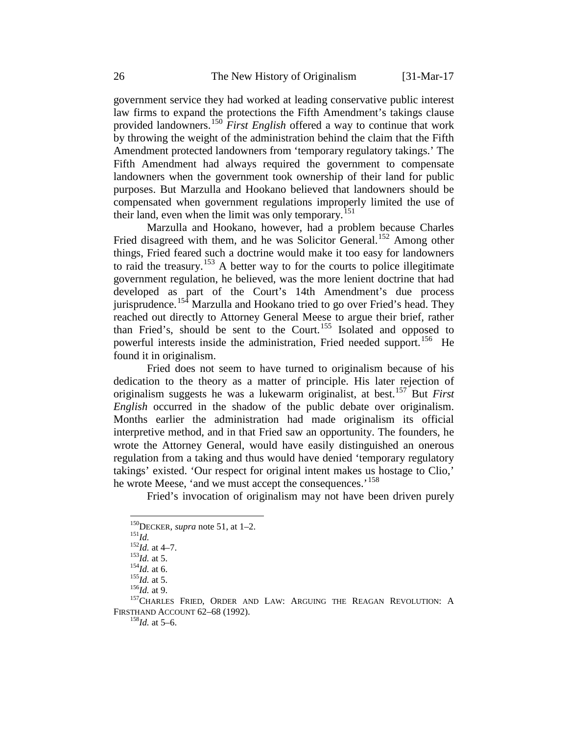government service they had worked at leading conservative public interest law firms to expand the protections the Fifth Amendment's takings clause provided landowners.[150](#page-27-0) *First English* offered a way to continue that work by throwing the weight of the administration behind the claim that the Fifth Amendment protected landowners from 'temporary regulatory takings.' The Fifth Amendment had always required the government to compensate landowners when the government took ownership of their land for public purposes. But Marzulla and Hookano believed that landowners should be compensated when government regulations improperly limited the use of their land, even when the limit was only temporary.<sup>[151](#page-27-1)</sup>

Marzulla and Hookano, however, had a problem because Charles Fried disagreed with them, and he was Solicitor General.<sup>[152](#page-27-2)</sup> Among other things, Fried feared such a doctrine would make it too easy for landowners to raid the treasury.<sup>[153](#page-27-3)</sup> A better way to for the courts to police illegitimate government regulation, he believed, was the more lenient doctrine that had developed as part of the Court's 14th Amendment's due process jurisprudence.<sup>[154](#page-27-4)</sup> Marzulla and Hookano tried to go over Fried's head. They reached out directly to Attorney General Meese to argue their brief, rather than Fried's, should be sent to the Court.<sup>[155](#page-27-5)</sup> Isolated and opposed to powerful interests inside the administration, Fried needed support.<sup>[156](#page-27-6)</sup> He found it in originalism.

Fried does not seem to have turned to originalism because of his dedication to the theory as a matter of principle. His later rejection of originalism suggests he was a lukewarm originalist, at best.[157](#page-27-7) But *First English* occurred in the shadow of the public debate over originalism. Months earlier the administration had made originalism its official interpretive method, and in that Fried saw an opportunity. The founders, he wrote the Attorney General, would have easily distinguished an onerous regulation from a taking and thus would have denied 'temporary regulatory takings' existed. 'Our respect for original intent makes us hostage to Clio,' he wrote Meese, 'and we must accept the consequences.'<sup>[158](#page-27-8)</sup>

Fried's invocation of originalism may not have been driven purely

<span id="page-27-5"></span><span id="page-27-4"></span><span id="page-27-3"></span><span id="page-27-2"></span><span id="page-27-1"></span><span id="page-27-0"></span><sup>150</sup>DECKER, *supra* note 51, at 1–2.<br>
<sup>152</sup>*Id.* at 4–7.<br>
<sup>152</sup>*Id.* at 5.<br>
<sup>154</sup>*Id.* at 6.<br>
<sup>154</sup>*Id.* at 5.<br>
<sup>155</sup>*Id.* at 5.<br>
<sup>156</sup>*Id.* at 9.<br>
<sup>157</sup>CHARLES FRIED, ORDER AND LAW: ARGUING THE REAGAN REVOLUTION: A FIRSTHAND ACCOUNT 62–68 (1992). <sup>158</sup>*Id.* at 5–6.

<span id="page-27-6"></span>

<span id="page-27-8"></span><span id="page-27-7"></span>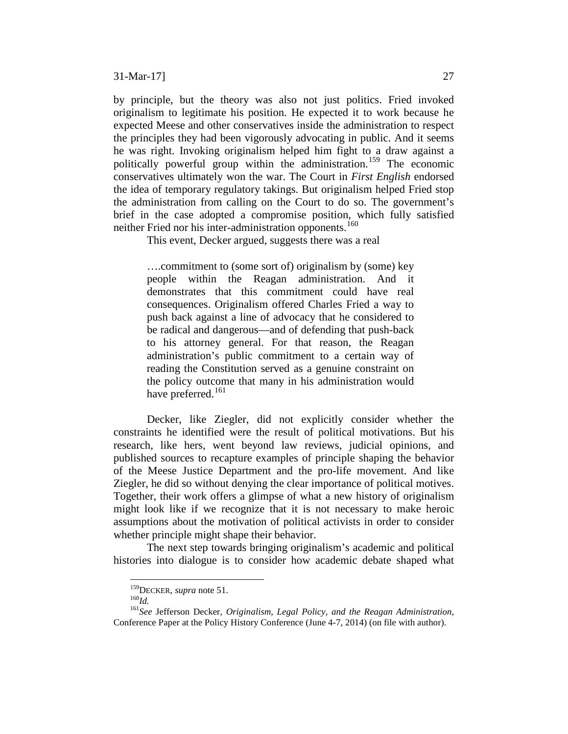by principle, but the theory was also not just politics. Fried invoked originalism to legitimate his position. He expected it to work because he expected Meese and other conservatives inside the administration to respect the principles they had been vigorously advocating in public. And it seems he was right. Invoking originalism helped him fight to a draw against a politically powerful group within the administration.<sup>[159](#page-28-0)</sup> The economic conservatives ultimately won the war. The Court in *First English* endorsed the idea of temporary regulatory takings. But originalism helped Fried stop the administration from calling on the Court to do so. The government's brief in the case adopted a compromise position, which fully satisfied neither Fried nor his inter-administration opponents.<sup>[160](#page-28-1)</sup>

This event, Decker argued, suggests there was a real

….commitment to (some sort of) originalism by (some) key people within the Reagan administration. And it demonstrates that this commitment could have real consequences. Originalism offered Charles Fried a way to push back against a line of advocacy that he considered to be radical and dangerous—and of defending that push-back to his attorney general. For that reason, the Reagan administration's public commitment to a certain way of reading the Constitution served as a genuine constraint on the policy outcome that many in his administration would have preferred.<sup>[161](#page-28-2)</sup>

Decker, like Ziegler, did not explicitly consider whether the constraints he identified were the result of political motivations. But his research, like hers, went beyond law reviews, judicial opinions, and published sources to recapture examples of principle shaping the behavior of the Meese Justice Department and the pro-life movement. And like Ziegler, he did so without denying the clear importance of political motives. Together, their work offers a glimpse of what a new history of originalism might look like if we recognize that it is not necessary to make heroic assumptions about the motivation of political activists in order to consider whether principle might shape their behavior.

The next step towards bringing originalism's academic and political histories into dialogue is to consider how academic debate shaped what

<span id="page-28-2"></span><span id="page-28-1"></span><span id="page-28-0"></span><sup>&</sup>lt;sup>159</sup>DECKER, *supra* note 51.<br><sup>160</sup>*Id.* 161*See* Jefferson Decker, *Originalism, Legal Policy, and the Reagan Administration,* Conference Paper at the Policy History Conference (June 4-7, 2014) (on file with author).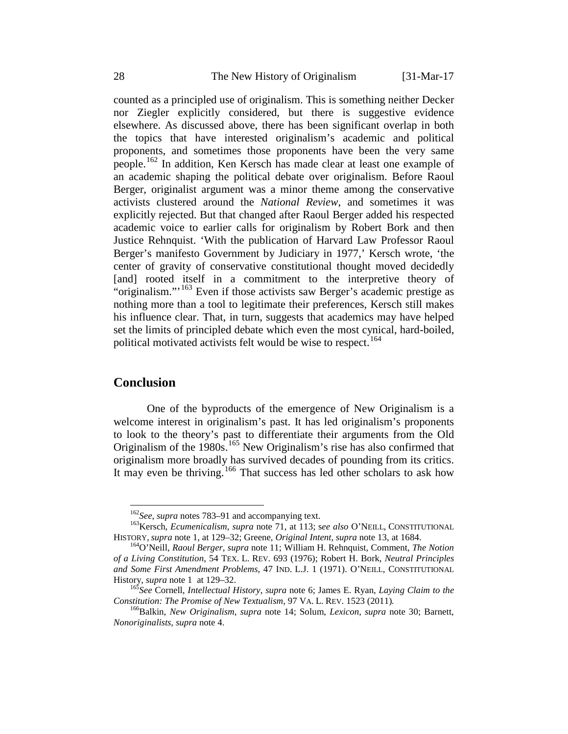counted as a principled use of originalism. This is something neither Decker nor Ziegler explicitly considered, but there is suggestive evidence elsewhere. As discussed above, there has been significant overlap in both the topics that have interested originalism's academic and political proponents, and sometimes those proponents have been the very same people.<sup>[162](#page-29-0)</sup> In addition, Ken Kersch has made clear at least one example of an academic shaping the political debate over originalism. Before Raoul Berger, originalist argument was a minor theme among the conservative activists clustered around the *National Review*, and sometimes it was explicitly rejected. But that changed after Raoul Berger added his respected academic voice to earlier calls for originalism by Robert Bork and then Justice Rehnquist. 'With the publication of Harvard Law Professor Raoul Berger's manifesto Government by Judiciary in 1977,' Kersch wrote, 'the center of gravity of conservative constitutional thought moved decidedly [and] rooted itself in a commitment to the interpretive theory of "originalism."<sup>[163](#page-29-1)</sup> Even if those activists saw Berger's academic prestige as nothing more than a tool to legitimate their preferences, Kersch still makes his influence clear. That, in turn, suggests that academics may have helped set the limits of principled debate which even the most cynical, hard-boiled, political motivated activists felt would be wise to respect.<sup>[164](#page-29-2)</sup>

### **Conclusion**

One of the byproducts of the emergence of New Originalism is a welcome interest in originalism's past. It has led originalism's proponents to look to the theory's past to differentiate their arguments from the Old Originalism of the  $1980s$ .<sup>[165](#page-29-3)</sup> New Originalism's rise has also confirmed that originalism more broadly has survived decades of pounding from its critics. It may even be thriving.<sup>[166](#page-29-4)</sup> That success has led other scholars to ask how

<span id="page-29-1"></span><span id="page-29-0"></span><sup>&</sup>lt;sup>162</sup>See, *supra* notes [783](#page-14-5)–91 and accompanying text.<br><sup>163</sup>Kersch, *Ecumenicalism*, *supra* note 71, at 113; see *also* O'NEILL, CONSTITUTIONAL<br>HISTORY, *supra* note 1, at 129–32; Greene, *Original Intent, supra* note 13,

<span id="page-29-2"></span><sup>&</sup>lt;sup>164</sup>O'Neill, *Raoul Berger, supra* note [11;](#page-5-5) William H. Rehnquist, Comment, *The Notion of a Living Constitution*, 54 TEX. L. REV. 693 (1976); Robert H. Bork, *Neutral Principles and Some First Amendment Problems*, 47 IND. L.J. 1 (1971). O'NEILL, CONSTITUTIONAL

<span id="page-29-3"></span>History, *supra* note [1](#page-2-0) at 129–32.<br><sup>165</sup>See Cornell, *Intellectual History*, *supra* note 6; James E. Ryan, *Laying Claim to the Constitution: The Promise of New Textualism*, 97 VA. L. REV. 1523 (2011).

<span id="page-29-4"></span><sup>&</sup>lt;sup>166</sup>Balkin, *New Originalism, supra* note [14;](#page-3-5) Solum, *Lexicon, supra* note [30;](#page-7-8) Barnett, *Nonoriginalists, supra* not[e 4.](#page-3-5)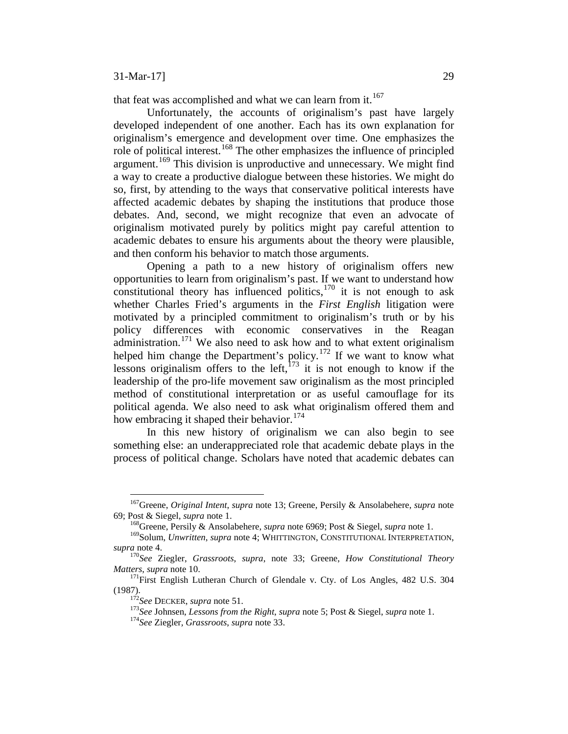that feat was accomplished and what we can learn from it.<sup>[167](#page-30-0)</sup>

Unfortunately, the accounts of originalism's past have largely developed independent of one another. Each has its own explanation for originalism's emergence and development over time. One emphasizes the role of political interest.<sup>[168](#page-30-1)</sup> The other emphasizes the influence of principled argument. [169](#page-30-2) This division is unproductive and unnecessary. We might find a way to create a productive dialogue between these histories. We might do so, first, by attending to the ways that conservative political interests have affected academic debates by shaping the institutions that produce those debates. And, second, we might recognize that even an advocate of originalism motivated purely by politics might pay careful attention to academic debates to ensure his arguments about the theory were plausible, and then conform his behavior to match those arguments.

Opening a path to a new history of originalism offers new opportunities to learn from originalism's past. If we want to understand how constitutional theory has influenced politics, $170$  it is not enough to ask whether Charles Fried's arguments in the *First English* litigation were motivated by a principled commitment to originalism's truth or by his policy differences with economic conservatives in the Reagan administration.<sup>[171](#page-30-4)</sup> We also need to ask how and to what extent originalism helped him change the Department's policy.<sup>[172](#page-30-5)</sup> If we want to know what lessons originalism offers to the left,  $173$  it is not enough to know if the leadership of the pro-life movement saw originalism as the most principled method of constitutional interpretation or as useful camouflage for its political agenda. We also need to ask what originalism offered them and how embracing it shaped their behavior.<sup>[174](#page-30-7)</sup>

In this new history of originalism we can also begin to see something else: an underappreciated role that academic debate plays in the process of political change. Scholars have noted that academic debates can

<span id="page-30-0"></span><sup>&</sup>lt;sup>167</sup>Greene, *Original Intent*, *supra* note [13;](#page-6-1) Greene, Persily & Ansolabehere, *supra* note 69; Post & Siegel, *supra* note 1.

<span id="page-30-1"></span><sup>&</sup>lt;sup>168</sup>Greene, Persily & Ansolabehere, *supra* note 6[969;](#page-12-5) Post & Siegel, *supra* not[e 1.](#page-2-0)<br><sup>169</sup>Solum, *Unwritten, supra* note [4;](#page-3-5) WHITTINGTON, CONSTITUTIONAL INTERPRETATION,

<span id="page-30-2"></span>*supra* note [4.](#page-3-5) <sup>170</sup>*See* Ziegler, *Grassroots*, *supra*, note [33;](#page-8-5) Greene, *How Constitutional Theory* 

<span id="page-30-7"></span><span id="page-30-6"></span><span id="page-30-5"></span><span id="page-30-4"></span><span id="page-30-3"></span>*Matters, supra* note 10.<br><sup>171</sup>First English Lutheran Church of Glendale v. Cty. of Los Angles, 482 U.S. 304 (1987).

<sup>&</sup>lt;sup>172</sup>See DECKER, supra note 51.<br><sup>173</sup>See Johnsen, *Lessons from the Right*, *supra* note 5; Post & Siegel, *supra* note [1.](#page-2-0)<br><sup>174</sup>See Ziegler, *Grassroots*, *supra* note 33.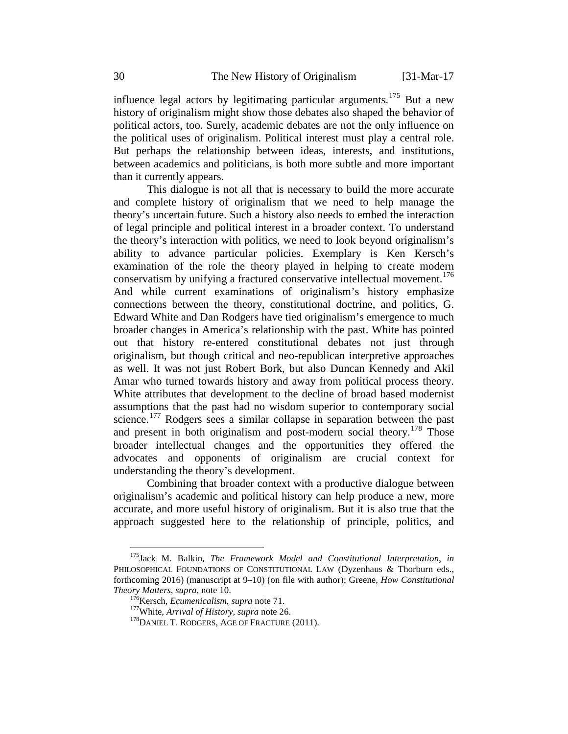influence legal actors by legitimating particular arguments.<sup>[175](#page-31-0)</sup> But a new history of originalism might show those debates also shaped the behavior of political actors, too. Surely, academic debates are not the only influence on the political uses of originalism. Political interest must play a central role. But perhaps the relationship between ideas, interests, and institutions, between academics and politicians, is both more subtle and more important than it currently appears.

This dialogue is not all that is necessary to build the more accurate and complete history of originalism that we need to help manage the theory's uncertain future. Such a history also needs to embed the interaction of legal principle and political interest in a broader context. To understand the theory's interaction with politics, we need to look beyond originalism's ability to advance particular policies. Exemplary is Ken Kersch's examination of the role the theory played in helping to create modern conservatism by unifying a fractured conservative intellectual movement.<sup>[176](#page-31-1)</sup> And while current examinations of originalism's history emphasize connections between the theory, constitutional doctrine, and politics, G. Edward White and Dan Rodgers have tied originalism's emergence to much broader changes in America's relationship with the past. White has pointed out that history re-entered constitutional debates not just through originalism, but though critical and neo-republican interpretive approaches as well. It was not just Robert Bork, but also Duncan Kennedy and Akil Amar who turned towards history and away from political process theory. White attributes that development to the decline of broad based modernist assumptions that the past had no wisdom superior to contemporary social science.<sup>[177](#page-31-2)</sup> Rodgers sees a similar collapse in separation between the past and present in both originalism and post-modern social theory.<sup>[178](#page-31-3)</sup> Those broader intellectual changes and the opportunities they offered the advocates and opponents of originalism are crucial context for understanding the theory's development.

Combining that broader context with a productive dialogue between originalism's academic and political history can help produce a new, more accurate, and more useful history of originalism. But it is also true that the approach suggested here to the relationship of principle, politics, and

<span id="page-31-3"></span><span id="page-31-2"></span><span id="page-31-1"></span><span id="page-31-0"></span> <sup>175</sup>Jack M. Balkin, *The Framework Model and Constitutional Interpretation*, *in* PHILOSOPHICAL FOUNDATIONS OF CONSTITUTIONAL LAW (Dyzenhaus & Thorburn eds., forthcoming 2016) (manuscript at 9–10) (on file with author); Greene*, How Constitutional Theory Matters, supra, note [10.](#page-5-4)*<br><sup>176</sup>Kersch, *Ecumenicalism, supra note 71.*<br><sup>177</sup>White, *Arrival of History, supra* note [26.](#page-7-9) <sup>178</sup>DANIEL T. RODGERS, AGE OF FRACTURE (2011).